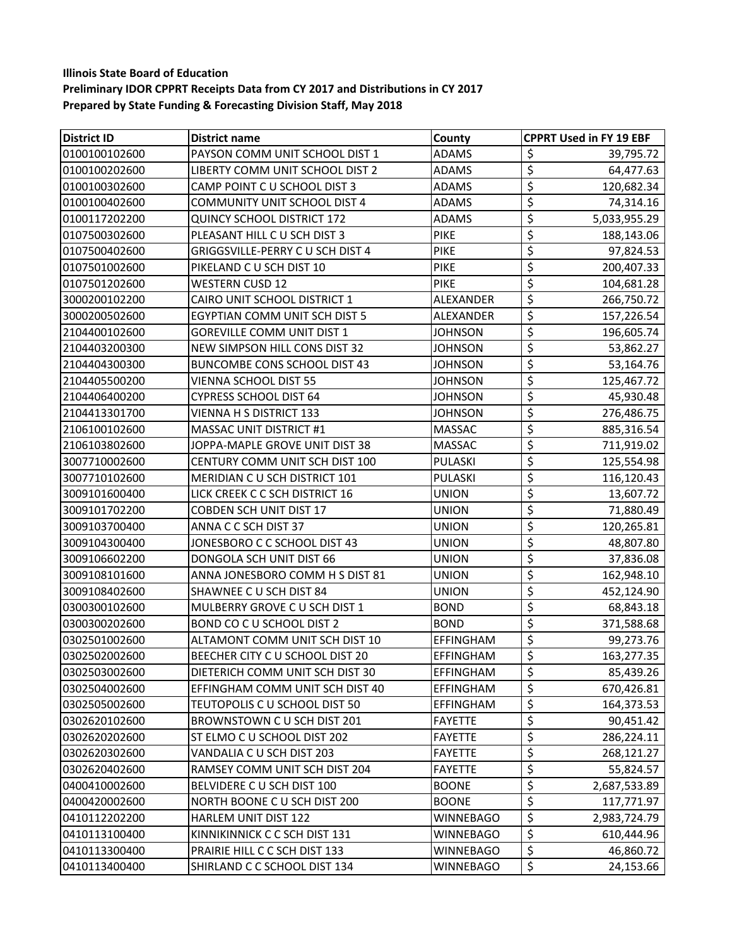| <b>District ID</b> | District name                       | County           | <b>CPPRT Used in FY 19 EBF</b> |
|--------------------|-------------------------------------|------------------|--------------------------------|
| 0100100102600      | PAYSON COMM UNIT SCHOOL DIST 1      | <b>ADAMS</b>     | \$<br>39,795.72                |
| 0100100202600      | LIBERTY COMM UNIT SCHOOL DIST 2     | <b>ADAMS</b>     | $\overline{\xi}$<br>64,477.63  |
| 0100100302600      | CAMP POINT C U SCHOOL DIST 3        | <b>ADAMS</b>     | \$<br>120,682.34               |
| 0100100402600      | <b>COMMUNITY UNIT SCHOOL DIST 4</b> | <b>ADAMS</b>     | \$<br>74,314.16                |
| 0100117202200      | <b>QUINCY SCHOOL DISTRICT 172</b>   | <b>ADAMS</b>     | \$<br>5,033,955.29             |
| 0107500302600      | PLEASANT HILL C U SCH DIST 3        | PIKE             | \$<br>188,143.06               |
| 0107500402600      | GRIGGSVILLE-PERRY C U SCH DIST 4    | <b>PIKE</b>      | \$<br>97,824.53                |
| 0107501002600      | PIKELAND C U SCH DIST 10            | <b>PIKE</b>      | \$<br>200,407.33               |
| 0107501202600      | <b>WESTERN CUSD 12</b>              | <b>PIKE</b>      | \$<br>104,681.28               |
| 3000200102200      | CAIRO UNIT SCHOOL DISTRICT 1        | ALEXANDER        | \$<br>266,750.72               |
| 3000200502600      | EGYPTIAN COMM UNIT SCH DIST 5       | ALEXANDER        | \$<br>157,226.54               |
| 2104400102600      | <b>GOREVILLE COMM UNIT DIST 1</b>   | JOHNSON          | \$<br>196,605.74               |
| 2104403200300      | NEW SIMPSON HILL CONS DIST 32       | <b>JOHNSON</b>   | \$<br>53,862.27                |
| 2104404300300      | <b>BUNCOMBE CONS SCHOOL DIST 43</b> | <b>JOHNSON</b>   | \$<br>53,164.76                |
| 2104405500200      | <b>VIENNA SCHOOL DIST 55</b>        | <b>JOHNSON</b>   | \$<br>125,467.72               |
| 2104406400200      | <b>CYPRESS SCHOOL DIST 64</b>       | JOHNSON          | \$<br>45,930.48                |
| 2104413301700      | VIENNA H S DISTRICT 133             | JOHNSON          | \$<br>276,486.75               |
| 2106100102600      | <b>MASSAC UNIT DISTRICT #1</b>      | MASSAC           | \$<br>885,316.54               |
| 2106103802600      | JOPPA-MAPLE GROVE UNIT DIST 38      | <b>MASSAC</b>    | \$<br>711,919.02               |
| 3007710002600      | CENTURY COMM UNIT SCH DIST 100      | PULASKI          | \$<br>125,554.98               |
| 3007710102600      | MERIDIAN C U SCH DISTRICT 101       | <b>PULASKI</b>   | \$<br>116,120.43               |
| 3009101600400      | LICK CREEK C C SCH DISTRICT 16      | <b>UNION</b>     | \$<br>13,607.72                |
| 3009101702200      | <b>COBDEN SCH UNIT DIST 17</b>      | UNION            | \$<br>71,880.49                |
| 3009103700400      | ANNA C C SCH DIST 37                | UNION            | \$<br>120,265.81               |
| 3009104300400      | JONESBORO C C SCHOOL DIST 43        | <b>UNION</b>     | \$<br>48,807.80                |
| 3009106602200      | DONGOLA SCH UNIT DIST 66            | UNION            | \$<br>37,836.08                |
| 3009108101600      | ANNA JONESBORO COMM H S DIST 81     | UNION            | \$<br>162,948.10               |
| 3009108402600      | SHAWNEE C U SCH DIST 84             | UNION            | \$<br>452,124.90               |
| 0300300102600      | MULBERRY GROVE C U SCH DIST 1       | <b>BOND</b>      | \$<br>68,843.18                |
| 0300300202600      | <b>BOND CO C U SCHOOL DIST 2</b>    | <b>BOND</b>      | \$<br>371,588.68               |
| 0302501002600      | ALTAMONT COMM UNIT SCH DIST 10      | EFFINGHAM        | \$<br>99,273.76                |
| 0302502002600      | BEECHER CITY C U SCHOOL DIST 20     | EFFINGHAM        | \$<br>163,277.35               |
| 0302503002600      | DIETERICH COMM UNIT SCH DIST 30     | <b>EFFINGHAM</b> | 85,439.26<br>\$                |
| 0302504002600      | EFFINGHAM COMM UNIT SCH DIST 40     | EFFINGHAM        | \$<br>670,426.81               |
| 0302505002600      | TEUTOPOLIS C U SCHOOL DIST 50       | <b>EFFINGHAM</b> | \$<br>164,373.53               |
| 0302620102600      | BROWNSTOWN CU SCH DIST 201          | <b>FAYETTE</b>   | \$<br>90,451.42                |
| 0302620202600      | ST ELMO C U SCHOOL DIST 202         | <b>FAYETTE</b>   | \$<br>286,224.11               |
| 0302620302600      | VANDALIA C U SCH DIST 203           | FAYETTE          | \$<br>268,121.27               |
| 0302620402600      | RAMSEY COMM UNIT SCH DIST 204       | <b>FAYETTE</b>   | \$<br>55,824.57                |
| 0400410002600      | BELVIDERE C U SCH DIST 100          | <b>BOONE</b>     | \$<br>2,687,533.89             |
| 0400420002600      | NORTH BOONE C U SCH DIST 200        | <b>BOONE</b>     | \$<br>117,771.97               |
| 0410112202200      | <b>HARLEM UNIT DIST 122</b>         | <b>WINNEBAGO</b> | \$<br>2,983,724.79             |
| 0410113100400      | KINNIKINNICK C C SCH DIST 131       | WINNEBAGO        | \$<br>610,444.96               |
| 0410113300400      | PRAIRIE HILL C C SCH DIST 133       | WINNEBAGO        | \$<br>46,860.72                |
| 0410113400400      | SHIRLAND C C SCHOOL DIST 134        | <b>WINNEBAGO</b> | \$<br>24,153.66                |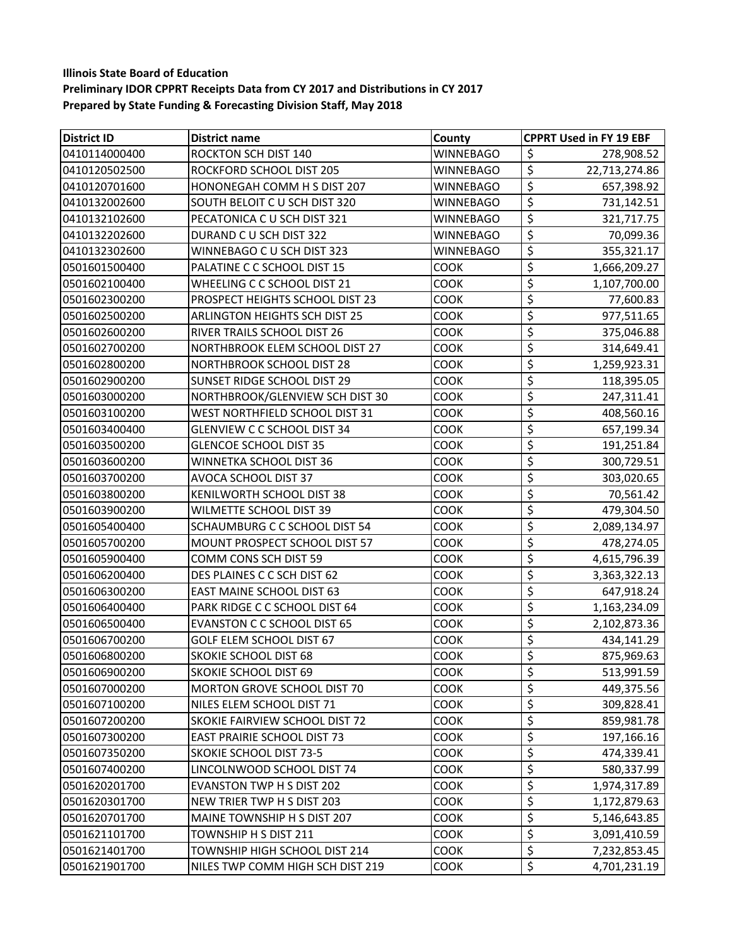| <b>District ID</b> | <b>District name</b>                 | County           | <b>CPPRT Used in FY 19 EBF</b>           |
|--------------------|--------------------------------------|------------------|------------------------------------------|
| 0410114000400      | <b>ROCKTON SCH DIST 140</b>          | <b>WINNEBAGO</b> | \$<br>278,908.52                         |
| 0410120502500      | ROCKFORD SCHOOL DIST 205             | <b>WINNEBAGO</b> | $\overline{\varsigma}$<br>22,713,274.86  |
| 0410120701600      | HONONEGAH COMM H S DIST 207          | WINNEBAGO        | \$<br>657,398.92                         |
| 0410132002600      | SOUTH BELOIT C U SCH DIST 320        | <b>WINNEBAGO</b> | \$<br>731,142.51                         |
| 0410132102600      | PECATONICA C U SCH DIST 321          | <b>WINNEBAGO</b> | \$<br>321,717.75                         |
| 0410132202600      | DURAND C U SCH DIST 322              | <b>WINNEBAGO</b> | \$<br>70,099.36                          |
| 0410132302600      | WINNEBAGO C U SCH DIST 323           | WINNEBAGO        | \$<br>355,321.17                         |
| 0501601500400      | PALATINE C C SCHOOL DIST 15          | COOK             | \$<br>1,666,209.27                       |
| 0501602100400      | WHEELING C C SCHOOL DIST 21          | <b>COOK</b>      | \$<br>1,107,700.00                       |
| 0501602300200      | PROSPECT HEIGHTS SCHOOL DIST 23      | <b>COOK</b>      | \$<br>77,600.83                          |
| 0501602500200      | <b>ARLINGTON HEIGHTS SCH DIST 25</b> | COOK             | \$<br>977,511.65                         |
| 0501602600200      | RIVER TRAILS SCHOOL DIST 26          | COOK             | \$<br>375,046.88                         |
| 0501602700200      | NORTHBROOK ELEM SCHOOL DIST 27       | <b>COOK</b>      | \$<br>314,649.41                         |
| 0501602800200      | <b>NORTHBROOK SCHOOL DIST 28</b>     | COOK             | \$<br>1,259,923.31                       |
| 0501602900200      | <b>SUNSET RIDGE SCHOOL DIST 29</b>   | COOK             | \$<br>118,395.05                         |
| 0501603000200      | NORTHBROOK/GLENVIEW SCH DIST 30      | COOK             | \$<br>247,311.41                         |
| 0501603100200      | WEST NORTHFIELD SCHOOL DIST 31       | COOK             | \$<br>408,560.16                         |
| 0501603400400      | <b>GLENVIEW C C SCHOOL DIST 34</b>   | <b>COOK</b>      | \$<br>657,199.34                         |
| 0501603500200      | <b>GLENCOE SCHOOL DIST 35</b>        | COOK             | \$<br>191,251.84                         |
| 0501603600200      | WINNETKA SCHOOL DIST 36              | <b>COOK</b>      | \$<br>300,729.51                         |
| 0501603700200      | AVOCA SCHOOL DIST 37                 | <b>COOK</b>      | \$<br>303,020.65                         |
| 0501603800200      | KENILWORTH SCHOOL DIST 38            | COOK             | \$<br>70,561.42                          |
| 0501603900200      | WILMETTE SCHOOL DIST 39              | COOK             | \$<br>479,304.50                         |
| 0501605400400      | SCHAUMBURG C C SCHOOL DIST 54        | <b>COOK</b>      | \$<br>2,089,134.97                       |
| 0501605700200      | MOUNT PROSPECT SCHOOL DIST 57        | COOK             | \$<br>478,274.05                         |
| 0501605900400      | COMM CONS SCH DIST 59                | COOK             | \$<br>4,615,796.39                       |
| 0501606200400      | DES PLAINES C C SCH DIST 62          | COOK             | \$<br>3,363,322.13                       |
| 0501606300200      | <b>EAST MAINE SCHOOL DIST 63</b>     | <b>COOK</b>      | \$<br>647,918.24                         |
| 0501606400400      | PARK RIDGE C C SCHOOL DIST 64        | <b>COOK</b>      | \$<br>1,163,234.09                       |
| 0501606500400      | <b>EVANSTON C C SCHOOL DIST 65</b>   | COOK             | \$<br>2,102,873.36                       |
| 0501606700200      | GOLF ELEM SCHOOL DIST 67             | COOK             | $\overline{\xi}$<br>434,141.29           |
| 0501606800200      | <b>SKOKIE SCHOOL DIST 68</b>         | <b>COOK</b>      | \$<br>875,969.63                         |
| 0501606900200      | <b>SKOKIE SCHOOL DIST 69</b>         | <b>COOK</b>      | \$<br>513,991.59                         |
| 0501607000200      | <b>MORTON GROVE SCHOOL DIST 70</b>   | <b>COOK</b>      | \$<br>449,375.56                         |
| 0501607100200      | NILES ELEM SCHOOL DIST 71            | <b>COOK</b>      | \$<br>309,828.41                         |
| 0501607200200      | SKOKIE FAIRVIEW SCHOOL DIST 72       | <b>COOK</b>      | \$<br>859,981.78                         |
| 0501607300200      | <b>EAST PRAIRIE SCHOOL DIST 73</b>   | <b>COOK</b>      | \$<br>197,166.16                         |
| 0501607350200      | <b>SKOKIE SCHOOL DIST 73-5</b>       | COOK             | \$<br>474,339.41                         |
| 0501607400200      | LINCOLNWOOD SCHOOL DIST 74           | COOK             | \$<br>580,337.99                         |
| 0501620201700      | EVANSTON TWP H S DIST 202            | <b>COOK</b>      | \$<br>1,974,317.89                       |
| 0501620301700      | NEW TRIER TWP H S DIST 203           | <b>COOK</b>      | \$<br>1,172,879.63                       |
| 0501620701700      | MAINE TOWNSHIP H S DIST 207          | <b>COOK</b>      | $\overline{\mathcal{L}}$<br>5,146,643.85 |
| 0501621101700      | TOWNSHIP H S DIST 211                | <b>COOK</b>      | \$<br>3,091,410.59                       |
| 0501621401700      | TOWNSHIP HIGH SCHOOL DIST 214        | COOK             | \$<br>7,232,853.45                       |
| 0501621901700      | NILES TWP COMM HIGH SCH DIST 219     | COOK             | \$<br>4,701,231.19                       |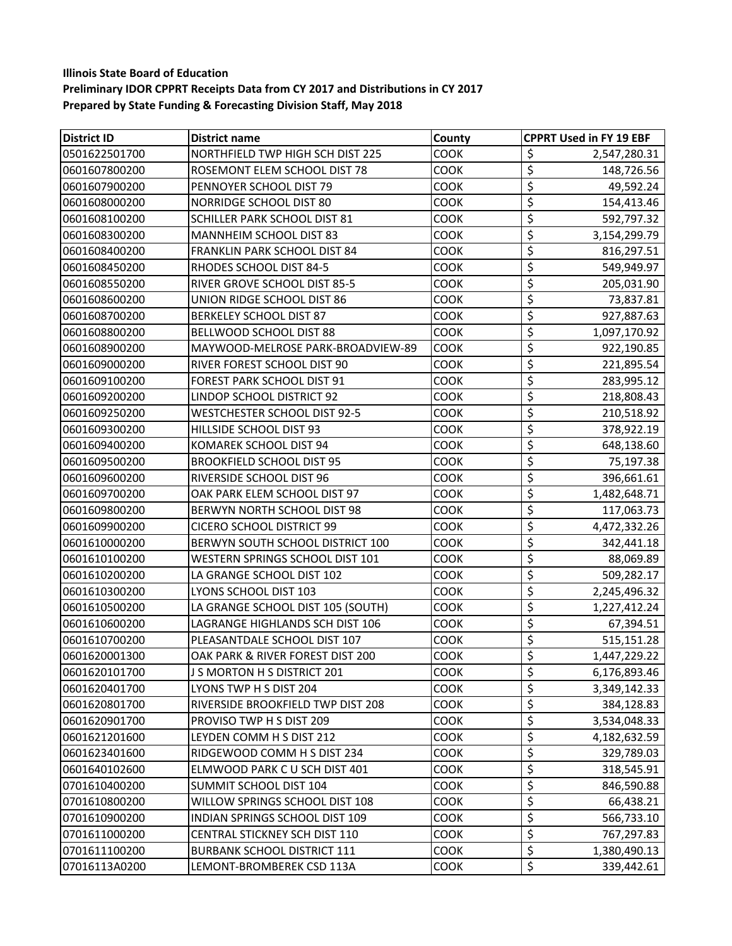| <b>District ID</b> | <b>District name</b>                  | County      | <b>CPPRT Used in FY 19 EBF</b> |
|--------------------|---------------------------------------|-------------|--------------------------------|
| 0501622501700      | NORTHFIELD TWP HIGH SCH DIST 225      | COOK        | \$<br>2,547,280.31             |
| 0601607800200      | ROSEMONT ELEM SCHOOL DIST 78          | <b>COOK</b> | \$<br>148,726.56               |
| 0601607900200      | PENNOYER SCHOOL DIST 79               | <b>COOK</b> | \$<br>49,592.24                |
| 0601608000200      | <b>NORRIDGE SCHOOL DIST 80</b>        | COOK        | \$<br>154,413.46               |
| 0601608100200      | SCHILLER PARK SCHOOL DIST 81          | <b>COOK</b> | \$<br>592,797.32               |
| 0601608300200      | MANNHEIM SCHOOL DIST 83               | COOK        | \$<br>3,154,299.79             |
| 0601608400200      | FRANKLIN PARK SCHOOL DIST 84          | COOK        | \$<br>816,297.51               |
| 0601608450200      | RHODES SCHOOL DIST 84-5               | COOK        | \$<br>549,949.97               |
| 0601608550200      | RIVER GROVE SCHOOL DIST 85-5          | <b>COOK</b> | \$<br>205,031.90               |
| 0601608600200      | UNION RIDGE SCHOOL DIST 86            | COOK        | \$<br>73,837.81                |
| 0601608700200      | <b>BERKELEY SCHOOL DIST 87</b>        | COOK        | \$<br>927,887.63               |
| 0601608800200      | BELLWOOD SCHOOL DIST 88               | COOK        | \$<br>1,097,170.92             |
| 0601608900200      | MAYWOOD-MELROSE PARK-BROADVIEW-89     | COOK        | \$<br>922,190.85               |
| 0601609000200      | RIVER FOREST SCHOOL DIST 90           | COOK        | \$<br>221,895.54               |
| 0601609100200      | <b>FOREST PARK SCHOOL DIST 91</b>     | COOK        | \$<br>283,995.12               |
| 0601609200200      | LINDOP SCHOOL DISTRICT 92             | COOK        | \$<br>218,808.43               |
| 0601609250200      | <b>WESTCHESTER SCHOOL DIST 92-5</b>   | <b>COOK</b> | \$<br>210,518.92               |
| 0601609300200      | HILLSIDE SCHOOL DIST 93               | COOK        | \$<br>378,922.19               |
| 0601609400200      | KOMAREK SCHOOL DIST 94                | COOK        | \$<br>648,138.60               |
| 0601609500200      | <b>BROOKFIELD SCHOOL DIST 95</b>      | COOK        | \$<br>75,197.38                |
| 0601609600200      | RIVERSIDE SCHOOL DIST 96              | <b>COOK</b> | \$<br>396,661.61               |
| 0601609700200      | OAK PARK ELEM SCHOOL DIST 97          | COOK        | \$<br>1,482,648.71             |
| 0601609800200      | BERWYN NORTH SCHOOL DIST 98           | COOK        | \$<br>117,063.73               |
| 0601609900200      | <b>CICERO SCHOOL DISTRICT 99</b>      | COOK        | \$<br>4,472,332.26             |
| 0601610000200      | BERWYN SOUTH SCHOOL DISTRICT 100      | <b>COOK</b> | \$<br>342,441.18               |
| 0601610100200      | WESTERN SPRINGS SCHOOL DIST 101       | COOK        | \$<br>88,069.89                |
| 0601610200200      | LA GRANGE SCHOOL DIST 102             | COOK        | \$<br>509,282.17               |
| 0601610300200      | LYONS SCHOOL DIST 103                 | COOK        | \$<br>2,245,496.32             |
| 0601610500200      | LA GRANGE SCHOOL DIST 105 (SOUTH)     | <b>COOK</b> | \$<br>1,227,412.24             |
| 0601610600200      | LAGRANGE HIGHLANDS SCH DIST 106       | <b>COOK</b> | \$<br>67,394.51                |
| 0601610700200      | PLEASANTDALE SCHOOL DIST 107          | COOK        | \$<br>515,151.28               |
| 0601620001300      | OAK PARK & RIVER FOREST DIST 200      | <b>COOK</b> | \$<br>1,447,229.22             |
| 0601620101700      | J S MORTON H S DISTRICT 201           | COOK        | \$<br>6,176,893.46             |
| 0601620401700      | LYONS TWP H S DIST 204                | <b>COOK</b> | \$<br>3,349,142.33             |
| 0601620801700      | RIVERSIDE BROOKFIELD TWP DIST 208     | COOK        | \$<br>384,128.83               |
| 0601620901700      | PROVISO TWP H S DIST 209              | <b>COOK</b> | \$<br>3,534,048.33             |
| 0601621201600      | LEYDEN COMM H S DIST 212              | <b>COOK</b> | \$<br>4,182,632.59             |
| 0601623401600      | RIDGEWOOD COMM H S DIST 234           | COOK        | \$<br>329,789.03               |
| 0601640102600      | ELMWOOD PARK C U SCH DIST 401         | COOK        | \$<br>318,545.91               |
| 0701610400200      | SUMMIT SCHOOL DIST 104                | COOK        | \$<br>846,590.88               |
| 0701610800200      | WILLOW SPRINGS SCHOOL DIST 108        | <b>COOK</b> | \$<br>66,438.21                |
| 0701610900200      | <b>INDIAN SPRINGS SCHOOL DIST 109</b> | COOK        | \$<br>566,733.10               |
| 0701611000200      | CENTRAL STICKNEY SCH DIST 110         | <b>COOK</b> | \$<br>767,297.83               |
| 0701611100200      | <b>BURBANK SCHOOL DISTRICT 111</b>    | COOK        | \$<br>1,380,490.13             |
| 07016113A0200      | LEMONT-BROMBEREK CSD 113A             | COOK        | \$<br>339,442.61               |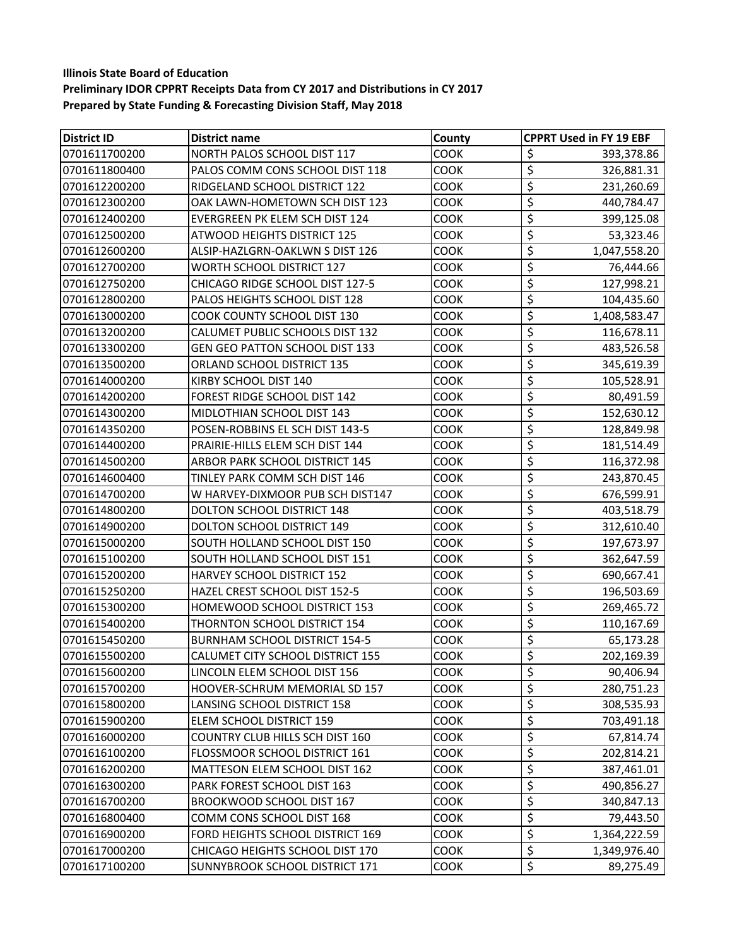| <b>District ID</b> | <b>District name</b>                  | County      | <b>CPPRT Used in FY 19 EBF</b> |
|--------------------|---------------------------------------|-------------|--------------------------------|
| 0701611700200      | NORTH PALOS SCHOOL DIST 117           | <b>COOK</b> | \$<br>393,378.86               |
| 0701611800400      | PALOS COMM CONS SCHOOL DIST 118       | COOK        | \$<br>326,881.31               |
| 0701612200200      | RIDGELAND SCHOOL DISTRICT 122         | <b>COOK</b> | \$<br>231,260.69               |
| 0701612300200      | OAK LAWN-HOMETOWN SCH DIST 123        | COOK        | \$<br>440,784.47               |
| 0701612400200      | EVERGREEN PK ELEM SCH DIST 124        | COOK        | \$<br>399,125.08               |
| 0701612500200      | <b>ATWOOD HEIGHTS DISTRICT 125</b>    | COOK        | \$<br>53,323.46                |
| 0701612600200      | ALSIP-HAZLGRN-OAKLWN S DIST 126       | <b>COOK</b> | \$<br>1,047,558.20             |
| 0701612700200      | <b>WORTH SCHOOL DISTRICT 127</b>      | COOK        | \$<br>76,444.66                |
| 0701612750200      | CHICAGO RIDGE SCHOOL DIST 127-5       | COOK        | \$<br>127,998.21               |
| 0701612800200      | PALOS HEIGHTS SCHOOL DIST 128         | COOK        | \$<br>104,435.60               |
| 0701613000200      | COOK COUNTY SCHOOL DIST 130           | COOK        | \$<br>1,408,583.47             |
| 0701613200200      | CALUMET PUBLIC SCHOOLS DIST 132       | COOK        | \$<br>116,678.11               |
| 0701613300200      | <b>GEN GEO PATTON SCHOOL DIST 133</b> | <b>COOK</b> | \$<br>483,526.58               |
| 0701613500200      | ORLAND SCHOOL DISTRICT 135            | COOK        | \$<br>345,619.39               |
| 0701614000200      | KIRBY SCHOOL DIST 140                 | COOK        | \$<br>105,528.91               |
| 0701614200200      | <b>FOREST RIDGE SCHOOL DIST 142</b>   | COOK        | \$<br>80,491.59                |
| 0701614300200      | MIDLOTHIAN SCHOOL DIST 143            | <b>COOK</b> | \$<br>152,630.12               |
| 0701614350200      | POSEN-ROBBINS EL SCH DIST 143-5       | COOK        | \$<br>128,849.98               |
| 0701614400200      | PRAIRIE-HILLS ELEM SCH DIST 144       | COOK        | \$<br>181,514.49               |
| 0701614500200      | ARBOR PARK SCHOOL DISTRICT 145        | <b>COOK</b> | \$<br>116,372.98               |
| 0701614600400      | TINLEY PARK COMM SCH DIST 146         | <b>COOK</b> | \$<br>243,870.45               |
| 0701614700200      | W HARVEY-DIXMOOR PUB SCH DIST147      | COOK        | \$<br>676,599.91               |
| 0701614800200      | DOLTON SCHOOL DISTRICT 148            | COOK        | \$<br>403,518.79               |
| 0701614900200      | <b>DOLTON SCHOOL DISTRICT 149</b>     | COOK        | \$<br>312,610.40               |
| 0701615000200      | SOUTH HOLLAND SCHOOL DIST 150         | <b>COOK</b> | \$<br>197,673.97               |
| 0701615100200      | SOUTH HOLLAND SCHOOL DIST 151         | COOK        | \$<br>362,647.59               |
| 0701615200200      | HARVEY SCHOOL DISTRICT 152            | COOK        | \$<br>690,667.41               |
| 0701615250200      | HAZEL CREST SCHOOL DIST 152-5         | COOK        | \$<br>196,503.69               |
| 0701615300200      | HOMEWOOD SCHOOL DISTRICT 153          | COOK        | \$<br>269,465.72               |
| 0701615400200      | THORNTON SCHOOL DISTRICT 154          | COOK        | \$<br>110,167.69               |
| 0701615450200      | <b>BURNHAM SCHOOL DISTRICT 154-5</b>  | COOK        | \$<br>65,173.28                |
| 0701615500200      | CALUMET CITY SCHOOL DISTRICT 155      | COOK        | \$<br>202,169.39               |
| 0701615600200      | LINCOLN ELEM SCHOOL DIST 156          | COOK        | 90,406.94<br>\$                |
| 0701615700200      | HOOVER-SCHRUM MEMORIAL SD 157         | COOK        | \$<br>280,751.23               |
| 0701615800200      | LANSING SCHOOL DISTRICT 158           | COOK        | \$<br>308,535.93               |
| 0701615900200      | ELEM SCHOOL DISTRICT 159              | COOK        | \$<br>703,491.18               |
| 0701616000200      | COUNTRY CLUB HILLS SCH DIST 160       | COOK        | \$<br>67,814.74                |
| 0701616100200      | FLOSSMOOR SCHOOL DISTRICT 161         | COOK        | \$<br>202,814.21               |
| 0701616200200      | MATTESON ELEM SCHOOL DIST 162         | COOK        | \$<br>387,461.01               |
| 0701616300200      | PARK FOREST SCHOOL DIST 163           | COOK        | \$<br>490,856.27               |
| 0701616700200      | BROOKWOOD SCHOOL DIST 167             | COOK        | \$<br>340,847.13               |
| 0701616800400      | COMM CONS SCHOOL DIST 168             | COOK        | \$<br>79,443.50                |
| 0701616900200      | FORD HEIGHTS SCHOOL DISTRICT 169      | <b>COOK</b> | \$<br>1,364,222.59             |
| 0701617000200      | CHICAGO HEIGHTS SCHOOL DIST 170       | COOK        | \$<br>1,349,976.40             |
| 0701617100200      | SUNNYBROOK SCHOOL DISTRICT 171        | COOK        | \$<br>89,275.49                |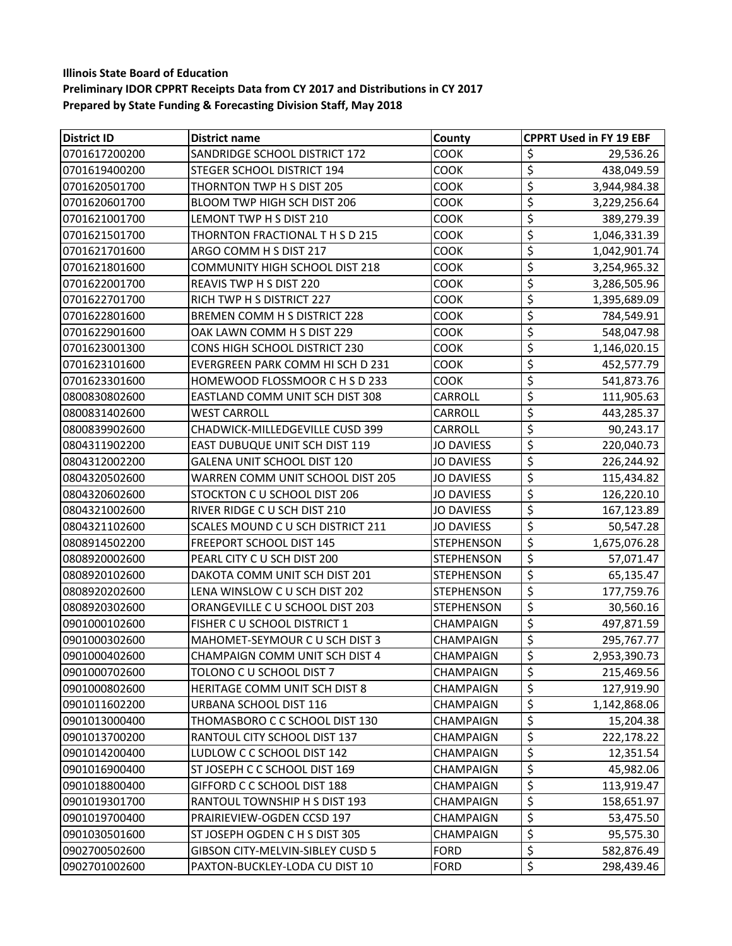| <b>District ID</b> | <b>District name</b>                  | County            | <b>CPPRT Used in FY 19 EBF</b>                  |
|--------------------|---------------------------------------|-------------------|-------------------------------------------------|
| 0701617200200      | SANDRIDGE SCHOOL DISTRICT 172         | <b>COOK</b>       | \$<br>29,536.26                                 |
| 0701619400200      | <b>STEGER SCHOOL DISTRICT 194</b>     | <b>COOK</b>       | $\overline{\mathcal{L}}$<br>438,049.59          |
| 0701620501700      | THORNTON TWP H S DIST 205             | <b>COOK</b>       | \$<br>3,944,984.38                              |
| 0701620601700      | BLOOM TWP HIGH SCH DIST 206           | COOK              | \$<br>3,229,256.64                              |
| 0701621001700      | LEMONT TWP H S DIST 210               | COOK              | \$<br>389,279.39                                |
| 0701621501700      | THORNTON FRACTIONAL T H S D 215       | COOK              | \$<br>1,046,331.39                              |
| 0701621701600      | ARGO COMM H S DIST 217                | <b>COOK</b>       | \$<br>1,042,901.74                              |
| 0701621801600      | <b>COMMUNITY HIGH SCHOOL DIST 218</b> | COOK              | \$<br>3,254,965.32                              |
| 0701622001700      | REAVIS TWP H S DIST 220               | <b>COOK</b>       | \$<br>3,286,505.96                              |
| 0701622701700      | RICH TWP H S DISTRICT 227             | <b>COOK</b>       | \$<br>1,395,689.09                              |
| 0701622801600      | BREMEN COMM H S DISTRICT 228          | <b>COOK</b>       | \$<br>784,549.91                                |
| 0701622901600      | OAK LAWN COMM H S DIST 229            | COOK              | \$<br>548,047.98                                |
| 0701623001300      | <b>CONS HIGH SCHOOL DISTRICT 230</b>  | COOK              | \$<br>1,146,020.15                              |
| 0701623101600      | EVERGREEN PARK COMM HI SCH D 231      | <b>COOK</b>       | \$<br>452,577.79                                |
| 0701623301600      | HOMEWOOD FLOSSMOOR C H S D 233        | <b>COOK</b>       | \$<br>541,873.76                                |
| 0800830802600      | EASTLAND COMM UNIT SCH DIST 308       | <b>CARROLL</b>    | \$<br>111,905.63                                |
| 0800831402600      | <b>WEST CARROLL</b>                   | <b>CARROLL</b>    | \$<br>443,285.37                                |
| 0800839902600      | CHADWICK-MILLEDGEVILLE CUSD 399       | <b>CARROLL</b>    | \$<br>90,243.17                                 |
| 0804311902200      | EAST DUBUQUE UNIT SCH DIST 119        | <b>JO DAVIESS</b> | \$<br>220,040.73                                |
| 0804312002200      | GALENA UNIT SCHOOL DIST 120           | <b>JO DAVIESS</b> | \$<br>226,244.92                                |
| 0804320502600      | WARREN COMM UNIT SCHOOL DIST 205      | <b>JO DAVIESS</b> | \$<br>115,434.82                                |
| 0804320602600      | STOCKTON C U SCHOOL DIST 206          | <b>JO DAVIESS</b> | \$<br>126,220.10                                |
| 0804321002600      | RIVER RIDGE C U SCH DIST 210          | <b>JO DAVIESS</b> | \$<br>167,123.89                                |
| 0804321102600      | SCALES MOUND C U SCH DISTRICT 211     | <b>JO DAVIESS</b> | \$<br>50,547.28                                 |
| 0808914502200      | <b>FREEPORT SCHOOL DIST 145</b>       | <b>STEPHENSON</b> | $\overline{\boldsymbol{\zeta}}$<br>1,675,076.28 |
| 0808920002600      | PEARL CITY C U SCH DIST 200           | <b>STEPHENSON</b> | \$<br>57,071.47                                 |
| 0808920102600      | DAKOTA COMM UNIT SCH DIST 201         | <b>STEPHENSON</b> | \$<br>65,135.47                                 |
| 0808920202600      | LENA WINSLOW C U SCH DIST 202         | <b>STEPHENSON</b> | \$<br>177,759.76                                |
| 0808920302600      | ORANGEVILLE C U SCHOOL DIST 203       | <b>STEPHENSON</b> | $\overline{\xi}$<br>30,560.16                   |
| 0901000102600      | FISHER C U SCHOOL DISTRICT 1          | <b>CHAMPAIGN</b>  | \$<br>497,871.59                                |
| 0901000302600      | MAHOMET-SEYMOUR C U SCH DIST 3        | <b>CHAMPAIGN</b>  | $\overline{\xi}$<br>295,767.77                  |
| 0901000402600      | <b>CHAMPAIGN COMM UNIT SCH DIST 4</b> | CHAMPAIGN         | \$<br>2,953,390.73                              |
| 0901000702600      | TOLONO C U SCHOOL DIST 7              | <b>CHAMPAIGN</b>  | \$<br>215,469.56                                |
| 0901000802600      | HERITAGE COMM UNIT SCH DIST 8         | <b>CHAMPAIGN</b>  | \$<br>127,919.90                                |
| 0901011602200      | URBANA SCHOOL DIST 116                | <b>CHAMPAIGN</b>  | \$<br>1,142,868.06                              |
| 0901013000400      | THOMASBORO C C SCHOOL DIST 130        | <b>CHAMPAIGN</b>  | \$<br>15,204.38                                 |
| 0901013700200      | RANTOUL CITY SCHOOL DIST 137          | <b>CHAMPAIGN</b>  | \$<br>222,178.22                                |
| 0901014200400      | LUDLOW C C SCHOOL DIST 142            | <b>CHAMPAIGN</b>  | \$<br>12,351.54                                 |
| 0901016900400      | ST JOSEPH C C SCHOOL DIST 169         | <b>CHAMPAIGN</b>  | \$<br>45,982.06                                 |
| 0901018800400      | GIFFORD C C SCHOOL DIST 188           | <b>CHAMPAIGN</b>  | \$<br>113,919.47                                |
| 0901019301700      | RANTOUL TOWNSHIP H S DIST 193         | <b>CHAMPAIGN</b>  | \$<br>158,651.97                                |
| 0901019700400      | PRAIRIEVIEW-OGDEN CCSD 197            | <b>CHAMPAIGN</b>  | \$<br>53,475.50                                 |
| 0901030501600      | ST JOSEPH OGDEN C H S DIST 305        | <b>CHAMPAIGN</b>  | \$<br>95,575.30                                 |
| 0902700502600      | GIBSON CITY-MELVIN-SIBLEY CUSD 5      | <b>FORD</b>       | $\overline{\boldsymbol{\zeta}}$<br>582,876.49   |
| 0902701002600      | PAXTON-BUCKLEY-LODA CU DIST 10        | <b>FORD</b>       | $\overline{\xi}$<br>298,439.46                  |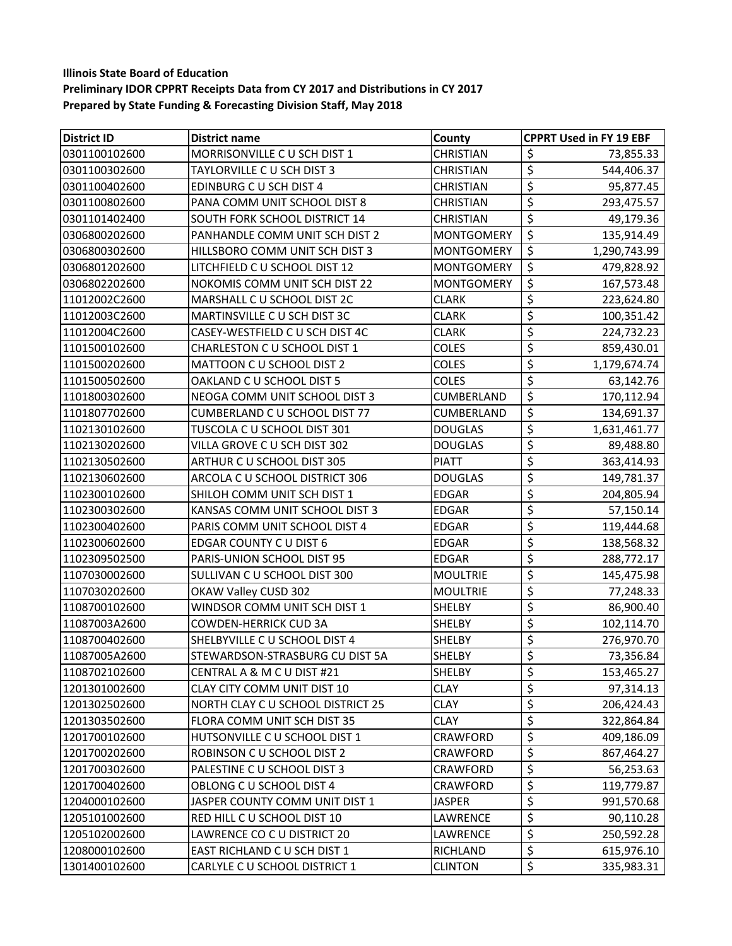| <b>District ID</b> | <b>District name</b>                 | <b>County</b>     | <b>CPPRT Used in FY 19 EBF</b>               |
|--------------------|--------------------------------------|-------------------|----------------------------------------------|
| 0301100102600      | MORRISONVILLE C U SCH DIST 1         | <b>CHRISTIAN</b>  | \$<br>73,855.33                              |
| 0301100302600      | TAYLORVILLE C U SCH DIST 3           | <b>CHRISTIAN</b>  | $\overline{\xi}$<br>544,406.37               |
| 0301100402600      | <b>EDINBURG C U SCH DIST 4</b>       | <b>CHRISTIAN</b>  | \$<br>95,877.45                              |
| 0301100802600      | PANA COMM UNIT SCHOOL DIST 8         | <b>CHRISTIAN</b>  | \$<br>293,475.57                             |
| 0301101402400      | SOUTH FORK SCHOOL DISTRICT 14        | <b>CHRISTIAN</b>  | \$<br>49,179.36                              |
| 0306800202600      | PANHANDLE COMM UNIT SCH DIST 2       | <b>MONTGOMERY</b> | $\overline{\xi}$<br>135,914.49               |
| 0306800302600      | HILLSBORO COMM UNIT SCH DIST 3       | <b>MONTGOMERY</b> | \$<br>1,290,743.99                           |
| 0306801202600      | LITCHFIELD C U SCHOOL DIST 12        | <b>MONTGOMERY</b> | $\overline{\xi}$<br>479,828.92               |
| 0306802202600      | NOKOMIS COMM UNIT SCH DIST 22        | <b>MONTGOMERY</b> | \$<br>167,573.48                             |
| 11012002C2600      | MARSHALL C U SCHOOL DIST 2C          | <b>CLARK</b>      | \$<br>223,624.80                             |
| 11012003C2600      | MARTINSVILLE C U SCH DIST 3C         | <b>CLARK</b>      | \$<br>100,351.42                             |
| 11012004C2600      | CASEY-WESTFIELD C U SCH DIST 4C      | <b>CLARK</b>      | \$<br>224,732.23                             |
| 1101500102600      | CHARLESTON C U SCHOOL DIST 1         | <b>COLES</b>      | \$<br>859,430.01                             |
| 1101500202600      | MATTOON C U SCHOOL DIST 2            | <b>COLES</b>      | \$<br>1,179,674.74                           |
| 1101500502600      | OAKLAND C U SCHOOL DIST 5            | <b>COLES</b>      | \$<br>63,142.76                              |
| 1101800302600      | NEOGA COMM UNIT SCHOOL DIST 3        | CUMBERLAND        | \$<br>170,112.94                             |
| 1101807702600      | <b>CUMBERLAND C U SCHOOL DIST 77</b> | <b>CUMBERLAND</b> | \$<br>134,691.37                             |
| 1102130102600      | TUSCOLA C U SCHOOL DIST 301          | <b>DOUGLAS</b>    | \$<br>1,631,461.77                           |
| 1102130202600      | VILLA GROVE C U SCH DIST 302         | <b>DOUGLAS</b>    | \$<br>89,488.80                              |
| 1102130502600      | ARTHUR C U SCHOOL DIST 305           | <b>PIATT</b>      | \$<br>363,414.93                             |
| 1102130602600      | ARCOLA C U SCHOOL DISTRICT 306       | <b>DOUGLAS</b>    | \$<br>149,781.37                             |
| 1102300102600      | SHILOH COMM UNIT SCH DIST 1          | <b>EDGAR</b>      | \$<br>204,805.94                             |
| 1102300302600      | KANSAS COMM UNIT SCHOOL DIST 3       | <b>EDGAR</b>      | \$<br>57,150.14                              |
| 1102300402600      | PARIS COMM UNIT SCHOOL DIST 4        | <b>EDGAR</b>      | \$<br>119,444.68                             |
| 1102300602600      | <b>EDGAR COUNTY C U DIST 6</b>       | <b>EDGAR</b>      | \$<br>138,568.32                             |
| 1102309502500      | PARIS-UNION SCHOOL DIST 95           | <b>EDGAR</b>      | \$<br>288,772.17                             |
| 1107030002600      | SULLIVAN C U SCHOOL DIST 300         | <b>MOULTRIE</b>   | \$<br>145,475.98                             |
| 1107030202600      | OKAW Valley CUSD 302                 | <b>MOULTRIE</b>   | \$<br>77,248.33                              |
| 1108700102600      | WINDSOR COMM UNIT SCH DIST 1         | <b>SHELBY</b>     | \$<br>86,900.40                              |
| 11087003A2600      | <b>COWDEN-HERRICK CUD 3A</b>         | SHELBY            | \$<br>102,114.70                             |
| 1108700402600      | SHELBYVILLE C U SCHOOL DIST 4        | <b>SHELBY</b>     | \$<br>276,970.70                             |
| 11087005A2600      | STEWARDSON-STRASBURG CU DIST 5A      | <b>SHELBY</b>     | $\overline{\boldsymbol{\zeta}}$<br>73,356.84 |
| 1108702102600      | CENTRAL A & M C U DIST #21           | <b>SHELBY</b>     | \$<br>153,465.27                             |
| 1201301002600      | CLAY CITY COMM UNIT DIST 10          | <b>CLAY</b>       | \$<br>97,314.13                              |
| 1201302502600      | NORTH CLAY C U SCHOOL DISTRICT 25    | <b>CLAY</b>       | \$<br>206,424.43                             |
| 1201303502600      | FLORA COMM UNIT SCH DIST 35          | <b>CLAY</b>       | \$<br>322,864.84                             |
| 1201700102600      | HUTSONVILLE C U SCHOOL DIST 1        | CRAWFORD          | \$<br>409,186.09                             |
| 1201700202600      | ROBINSON C U SCHOOL DIST 2           | CRAWFORD          | \$<br>867,464.27                             |
| 1201700302600      | PALESTINE C U SCHOOL DIST 3          | CRAWFORD          | \$<br>56,253.63                              |
| 1201700402600      | OBLONG C U SCHOOL DIST 4             | <b>CRAWFORD</b>   | \$<br>119,779.87                             |
| 1204000102600      | JASPER COUNTY COMM UNIT DIST 1       | <b>JASPER</b>     | \$<br>991,570.68                             |
| 1205101002600      | RED HILL C U SCHOOL DIST 10          | LAWRENCE          | \$<br>90,110.28                              |
| 1205102002600      | LAWRENCE CO C U DISTRICT 20          | LAWRENCE          | \$<br>250,592.28                             |
| 1208000102600      | EAST RICHLAND C U SCH DIST 1         | RICHLAND          | $\overline{\xi}$<br>615,976.10               |
| 1301400102600      | CARLYLE C U SCHOOL DISTRICT 1        | <b>CLINTON</b>    | $\overline{\mathcal{S}}$<br>335,983.31       |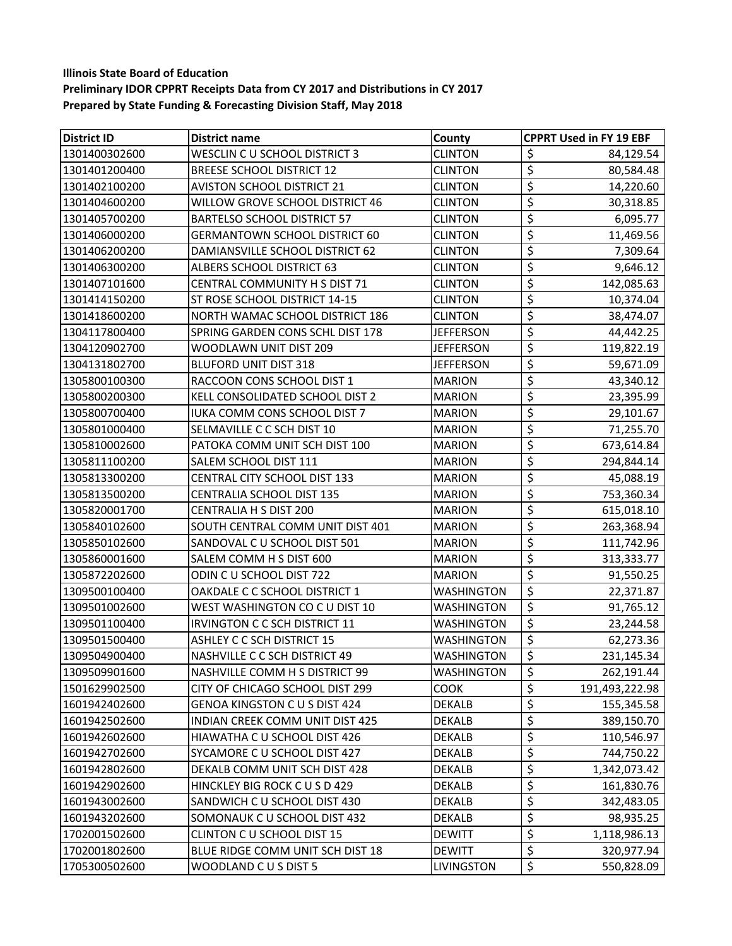| <b>District ID</b> | <b>District name</b>                   | <b>County</b>     | <b>CPPRT Used in FY 19 EBF</b>                   |
|--------------------|----------------------------------------|-------------------|--------------------------------------------------|
| 1301400302600      | WESCLIN C U SCHOOL DISTRICT 3          | <b>CLINTON</b>    | \$<br>84,129.54                                  |
| 1301401200400      | <b>BREESE SCHOOL DISTRICT 12</b>       | <b>CLINTON</b>    | $\overline{\xi}$<br>80,584.48                    |
| 1301402100200      | <b>AVISTON SCHOOL DISTRICT 21</b>      | <b>CLINTON</b>    | \$<br>14,220.60                                  |
| 1301404600200      | WILLOW GROVE SCHOOL DISTRICT 46        | <b>CLINTON</b>    | $\overline{\mathcal{L}}$<br>30,318.85            |
| 1301405700200      | <b>BARTELSO SCHOOL DISTRICT 57</b>     | <b>CLINTON</b>    | \$<br>6,095.77                                   |
| 1301406000200      | <b>GERMANTOWN SCHOOL DISTRICT 60</b>   | <b>CLINTON</b>    | \$<br>11,469.56                                  |
| 1301406200200      | DAMIANSVILLE SCHOOL DISTRICT 62        | <b>CLINTON</b>    | $\overline{\boldsymbol{\zeta}}$<br>7,309.64      |
| 1301406300200      | ALBERS SCHOOL DISTRICT 63              | <b>CLINTON</b>    | \$<br>9,646.12                                   |
| 1301407101600      | CENTRAL COMMUNITY H S DIST 71          | <b>CLINTON</b>    | $\overline{\xi}$<br>142,085.63                   |
| 1301414150200      | ST ROSE SCHOOL DISTRICT 14-15          | <b>CLINTON</b>    | \$<br>10,374.04                                  |
| 1301418600200      | <b>NORTH WAMAC SCHOOL DISTRICT 186</b> | <b>CLINTON</b>    | $\overline{\mathcal{L}}$<br>38,474.07            |
| 1304117800400      | SPRING GARDEN CONS SCHL DIST 178       | <b>JEFFERSON</b>  | \$<br>44,442.25                                  |
| 1304120902700      | WOODLAWN UNIT DIST 209                 | <b>JEFFERSON</b>  | \$<br>119,822.19                                 |
| 1304131802700      | <b>BLUFORD UNIT DIST 318</b>           | <b>JEFFERSON</b>  | \$<br>59,671.09                                  |
| 1305800100300      | RACCOON CONS SCHOOL DIST 1             | <b>MARION</b>     | \$<br>43,340.12                                  |
| 1305800200300      | KELL CONSOLIDATED SCHOOL DIST 2        | <b>MARION</b>     | \$<br>23,395.99                                  |
| 1305800700400      | <b>IUKA COMM CONS SCHOOL DIST 7</b>    | <b>MARION</b>     | $\overline{\boldsymbol{\zeta}}$<br>29,101.67     |
| 1305801000400      | SELMAVILLE C C SCH DIST 10             | <b>MARION</b>     | \$<br>71,255.70                                  |
| 1305810002600      | PATOKA COMM UNIT SCH DIST 100          | <b>MARION</b>     | \$<br>673,614.84                                 |
| 1305811100200      | SALEM SCHOOL DIST 111                  | <b>MARION</b>     | \$<br>294,844.14                                 |
| 1305813300200      | CENTRAL CITY SCHOOL DIST 133           | <b>MARION</b>     | $\overline{\mathcal{L}}$<br>45,088.19            |
| 1305813500200      | CENTRALIA SCHOOL DIST 135              | <b>MARION</b>     | $\overline{\mathcal{L}}$<br>753,360.34           |
| 1305820001700      | <b>CENTRALIA H S DIST 200</b>          | <b>MARION</b>     | \$<br>615,018.10                                 |
| 1305840102600      | SOUTH CENTRAL COMM UNIT DIST 401       | <b>MARION</b>     | \$<br>263,368.94                                 |
| 1305850102600      | SANDOVAL C U SCHOOL DIST 501           | <b>MARION</b>     | $\overline{\xi}$<br>111,742.96                   |
| 1305860001600      | SALEM COMM H S DIST 600                | <b>MARION</b>     | \$<br>313,333.77                                 |
| 1305872202600      | ODIN CU SCHOOL DIST 722                | <b>MARION</b>     | $\overline{\xi}$<br>91,550.25                    |
| 1309500100400      | OAKDALE C C SCHOOL DISTRICT 1          | <b>WASHINGTON</b> | $\overline{\boldsymbol{\varsigma}}$<br>22,371.87 |
| 1309501002600      | WEST WASHINGTON CO C U DIST 10         | <b>WASHINGTON</b> | \$<br>91,765.12                                  |
| 1309501100400      | <b>IRVINGTON C C SCH DISTRICT 11</b>   | <b>WASHINGTON</b> | \$<br>23,244.58                                  |
| 1309501500400      | ASHLEY C C SCH DISTRICT 15             | WASHINGTON        | $\overline{\mathcal{L}}$<br>62,273.36            |
| 1309504900400      | NASHVILLE C C SCH DISTRICT 49          | WASHINGTON        | \$<br>231,145.34                                 |
| 1309509901600      | NASHVILLE COMM H S DISTRICT 99         | <b>WASHINGTON</b> | \$<br>262,191.44                                 |
| 1501629902500      | CITY OF CHICAGO SCHOOL DIST 299        | COOK              | \$<br>191,493,222.98                             |
| 1601942402600      | <b>GENOA KINGSTON C U S DIST 424</b>   | <b>DEKALB</b>     | \$<br>155,345.58                                 |
| 1601942502600      | <b>INDIAN CREEK COMM UNIT DIST 425</b> | <b>DEKALB</b>     | \$<br>389,150.70                                 |
| 1601942602600      | HIAWATHA C U SCHOOL DIST 426           | <b>DEKALB</b>     | \$<br>110,546.97                                 |
| 1601942702600      | SYCAMORE C U SCHOOL DIST 427           | <b>DEKALB</b>     | \$<br>744,750.22                                 |
| 1601942802600      | DEKALB COMM UNIT SCH DIST 428          | <b>DEKALB</b>     | \$<br>1,342,073.42                               |
| 1601942902600      | HINCKLEY BIG ROCK C U S D 429          | <b>DEKALB</b>     | \$<br>161,830.76                                 |
| 1601943002600      | SANDWICH C U SCHOOL DIST 430           | <b>DEKALB</b>     | \$<br>342,483.05                                 |
| 1601943202600      | SOMONAUK C U SCHOOL DIST 432           | <b>DEKALB</b>     | \$<br>98,935.25                                  |
| 1702001502600      | CLINTON C U SCHOOL DIST 15             | <b>DEWITT</b>     | $\overline{\mathcal{L}}$<br>1,118,986.13         |
| 1702001802600      | BLUE RIDGE COMM UNIT SCH DIST 18       | <b>DEWITT</b>     | \$<br>320,977.94                                 |
| 1705300502600      | WOODLAND CUS DIST 5                    | LIVINGSTON        | \$<br>550,828.09                                 |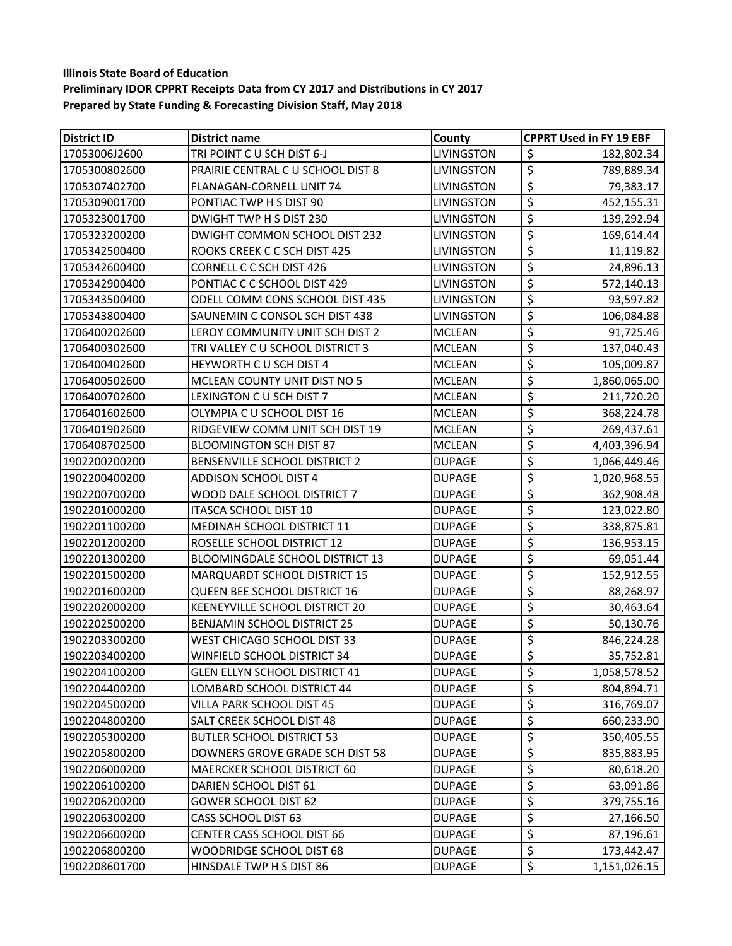| <b>District ID</b> | <b>District name</b>                 | County            | <b>CPPRT Used in FY 19 EBF</b>         |
|--------------------|--------------------------------------|-------------------|----------------------------------------|
| 17053006J2600      | TRI POINT CU SCH DIST 6-J            | LIVINGSTON        | \$<br>182,802.34                       |
| 1705300802600      | PRAIRIE CENTRAL C U SCHOOL DIST 8    | LIVINGSTON        | \$<br>789,889.34                       |
| 1705307402700      | FLANAGAN-CORNELL UNIT 74             | LIVINGSTON        | \$<br>79,383.17                        |
| 1705309001700      | PONTIAC TWP H S DIST 90              | LIVINGSTON        | $\overline{\xi}$<br>452,155.31         |
| 1705323001700      | DWIGHT TWP H S DIST 230              | LIVINGSTON        | \$<br>139,292.94                       |
| 1705323200200      | DWIGHT COMMON SCHOOL DIST 232        | LIVINGSTON        | \$<br>169,614.44                       |
| 1705342500400      | ROOKS CREEK C C SCH DIST 425         | LIVINGSTON        | \$<br>11,119.82                        |
| 1705342600400      | CORNELL C C SCH DIST 426             | <b>LIVINGSTON</b> | $\overline{\xi}$<br>24,896.13          |
| 1705342900400      | PONTIAC C C SCHOOL DIST 429          | LIVINGSTON        | \$<br>572,140.13                       |
| 1705343500400      | ODELL COMM CONS SCHOOL DIST 435      | LIVINGSTON        | \$<br>93,597.82                        |
| 1705343800400      | SAUNEMIN C CONSOL SCH DIST 438       | LIVINGSTON        | \$<br>106,084.88                       |
| 1706400202600      | LEROY COMMUNITY UNIT SCH DIST 2      | <b>MCLEAN</b>     | \$<br>91,725.46                        |
| 1706400302600      | TRI VALLEY C U SCHOOL DISTRICT 3     | <b>MCLEAN</b>     | \$<br>137,040.43                       |
| 1706400402600      | HEYWORTH C U SCH DIST 4              | <b>MCLEAN</b>     | \$<br>105,009.87                       |
| 1706400502600      | MCLEAN COUNTY UNIT DIST NO 5         | <b>MCLEAN</b>     | \$<br>1,860,065.00                     |
| 1706400702600      | LEXINGTON C U SCH DIST 7             | <b>MCLEAN</b>     | \$<br>211,720.20                       |
| 1706401602600      | OLYMPIA C U SCHOOL DIST 16           | <b>MCLEAN</b>     | $\overline{\mathcal{L}}$<br>368,224.78 |
| 1706401902600      | RIDGEVIEW COMM UNIT SCH DIST 19      | <b>MCLEAN</b>     | \$<br>269,437.61                       |
| 1706408702500      | <b>BLOOMINGTON SCH DIST 87</b>       | <b>MCLEAN</b>     | \$<br>4,403,396.94                     |
| 1902200200200      | BENSENVILLE SCHOOL DISTRICT 2        | <b>DUPAGE</b>     | \$<br>1,066,449.46                     |
| 1902200400200      | ADDISON SCHOOL DIST 4                | <b>DUPAGE</b>     | \$<br>1,020,968.55                     |
| 1902200700200      | WOOD DALE SCHOOL DISTRICT 7          | <b>DUPAGE</b>     | \$<br>362,908.48                       |
| 1902201000200      | <b>ITASCA SCHOOL DIST 10</b>         | <b>DUPAGE</b>     | \$<br>123,022.80                       |
| 1902201100200      | MEDINAH SCHOOL DISTRICT 11           | <b>DUPAGE</b>     | \$<br>338,875.81                       |
| 1902201200200      | ROSELLE SCHOOL DISTRICT 12           | <b>DUPAGE</b>     | \$<br>136,953.15                       |
| 1902201300200      | BLOOMINGDALE SCHOOL DISTRICT 13      | <b>DUPAGE</b>     | \$<br>69,051.44                        |
| 1902201500200      | MARQUARDT SCHOOL DISTRICT 15         | <b>DUPAGE</b>     | \$<br>152,912.55                       |
| 1902201600200      | <b>QUEEN BEE SCHOOL DISTRICT 16</b>  | <b>DUPAGE</b>     | \$<br>88,268.97                        |
| 1902202000200      | KEENEYVILLE SCHOOL DISTRICT 20       | <b>DUPAGE</b>     | \$<br>30,463.64                        |
| 1902202500200      | <b>BENJAMIN SCHOOL DISTRICT 25</b>   | <b>DUPAGE</b>     | \$<br>50,130.76                        |
| 1902203300200      | WEST CHICAGO SCHOOL DIST 33          | <b>DUPAGE</b>     | $\overline{\xi}$<br>846,224.28         |
| 1902203400200      | WINFIELD SCHOOL DISTRICT 34          | <b>DUPAGE</b>     | \$<br>35,752.81                        |
| 1902204100200      | <b>GLEN ELLYN SCHOOL DISTRICT 41</b> | <b>DUPAGE</b>     | \$<br>1,058,578.52                     |
| 1902204400200      | LOMBARD SCHOOL DISTRICT 44           | <b>DUPAGE</b>     | \$<br>804,894.71                       |
| 1902204500200      | VILLA PARK SCHOOL DIST 45            | <b>DUPAGE</b>     | \$<br>316,769.07                       |
| 1902204800200      | SALT CREEK SCHOOL DIST 48            | <b>DUPAGE</b>     | \$<br>660,233.90                       |
| 1902205300200      | <b>BUTLER SCHOOL DISTRICT 53</b>     | <b>DUPAGE</b>     | \$<br>350,405.55                       |
| 1902205800200      | DOWNERS GROVE GRADE SCH DIST 58      | <b>DUPAGE</b>     | \$<br>835,883.95                       |
| 1902206000200      | MAERCKER SCHOOL DISTRICT 60          | <b>DUPAGE</b>     | \$<br>80,618.20                        |
| 1902206100200      | DARIEN SCHOOL DIST 61                | <b>DUPAGE</b>     | \$<br>63,091.86                        |
| 1902206200200      | <b>GOWER SCHOOL DIST 62</b>          | <b>DUPAGE</b>     | \$<br>379,755.16                       |
| 1902206300200      | CASS SCHOOL DIST 63                  | <b>DUPAGE</b>     | $\overline{\varsigma}$<br>27,166.50    |
| 1902206600200      | <b>CENTER CASS SCHOOL DIST 66</b>    | <b>DUPAGE</b>     | \$<br>87,196.61                        |
| 1902206800200      | WOODRIDGE SCHOOL DIST 68             | <b>DUPAGE</b>     | \$<br>173,442.47                       |
| 1902208601700      | HINSDALE TWP H S DIST 86             | <b>DUPAGE</b>     | \$<br>1,151,026.15                     |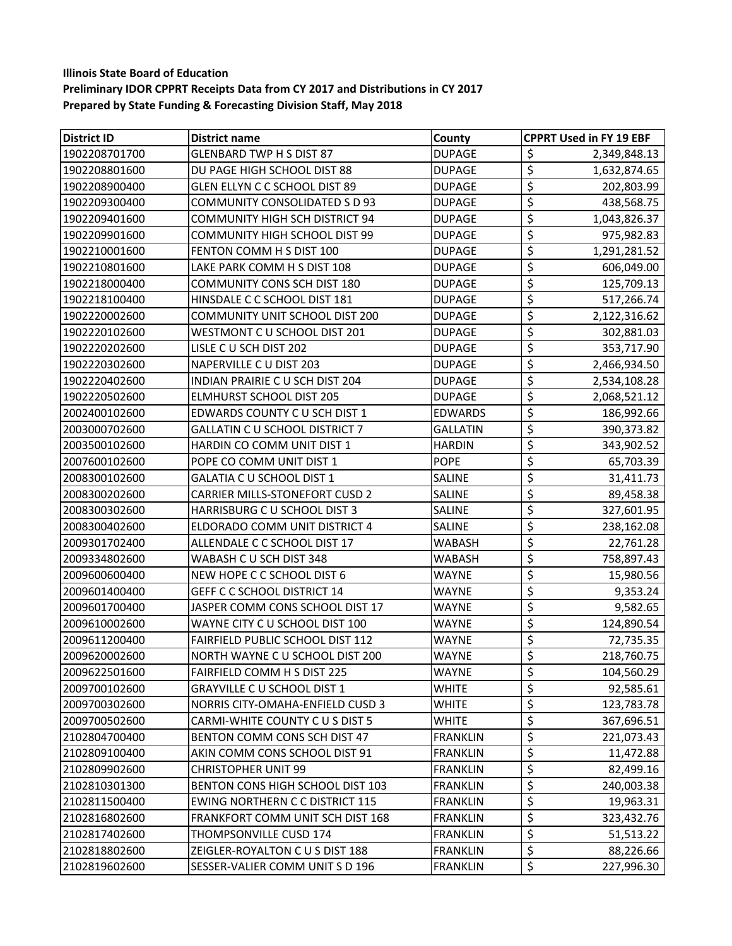| <b>District ID</b> | District name                          | County          | <b>CPPRT Used in FY 19 EBF</b>         |
|--------------------|----------------------------------------|-----------------|----------------------------------------|
| 1902208701700      | <b>GLENBARD TWP H S DIST 87</b>        | <b>DUPAGE</b>   | \$<br>2,349,848.13                     |
| 1902208801600      | DU PAGE HIGH SCHOOL DIST 88            | <b>DUPAGE</b>   | $\overline{\varsigma}$<br>1,632,874.65 |
| 1902208900400      | GLEN ELLYN C C SCHOOL DIST 89          | <b>DUPAGE</b>   | \$<br>202,803.99                       |
| 1902209300400      | COMMUNITY CONSOLIDATED S D 93          | <b>DUPAGE</b>   | \$<br>438,568.75                       |
| 1902209401600      | <b>COMMUNITY HIGH SCH DISTRICT 94</b>  | <b>DUPAGE</b>   | \$<br>1,043,826.37                     |
| 1902209901600      | <b>COMMUNITY HIGH SCHOOL DIST 99</b>   | <b>DUPAGE</b>   | \$<br>975,982.83                       |
| 1902210001600      | FENTON COMM H S DIST 100               | <b>DUPAGE</b>   | \$<br>1,291,281.52                     |
| 1902210801600      | LAKE PARK COMM H S DIST 108            | <b>DUPAGE</b>   | \$<br>606,049.00                       |
| 1902218000400      | <b>COMMUNITY CONS SCH DIST 180</b>     | <b>DUPAGE</b>   | \$<br>125,709.13                       |
| 1902218100400      | HINSDALE C C SCHOOL DIST 181           | <b>DUPAGE</b>   | \$<br>517,266.74                       |
| 1902220002600      | COMMUNITY UNIT SCHOOL DIST 200         | <b>DUPAGE</b>   | \$<br>2,122,316.62                     |
| 1902220102600      | WESTMONT C U SCHOOL DIST 201           | <b>DUPAGE</b>   | \$<br>302,881.03                       |
| 1902220202600      | LISLE C U SCH DIST 202                 | <b>DUPAGE</b>   | \$<br>353,717.90                       |
| 1902220302600      | NAPERVILLE C U DIST 203                | <b>DUPAGE</b>   | \$<br>2,466,934.50                     |
| 1902220402600      | INDIAN PRAIRIE C U SCH DIST 204        | <b>DUPAGE</b>   | \$<br>2,534,108.28                     |
| 1902220502600      | <b>ELMHURST SCHOOL DIST 205</b>        | <b>DUPAGE</b>   | \$<br>2,068,521.12                     |
| 2002400102600      | <b>EDWARDS COUNTY C U SCH DIST 1</b>   | <b>EDWARDS</b>  | \$<br>186,992.66                       |
| 2003000702600      | <b>GALLATIN C U SCHOOL DISTRICT 7</b>  | <b>GALLATIN</b> | \$<br>390,373.82                       |
| 2003500102600      | HARDIN CO COMM UNIT DIST 1             | <b>HARDIN</b>   | \$<br>343,902.52                       |
| 2007600102600      | POPE CO COMM UNIT DIST 1               | <b>POPE</b>     | \$<br>65,703.39                        |
| 2008300102600      | GALATIA C U SCHOOL DIST 1              | SALINE          | \$<br>31,411.73                        |
| 2008300202600      | <b>CARRIER MILLS-STONEFORT CUSD 2</b>  | SALINE          | \$<br>89,458.38                        |
| 2008300302600      | HARRISBURG C U SCHOOL DIST 3           | SALINE          | \$<br>327,601.95                       |
| 2008300402600      | ELDORADO COMM UNIT DISTRICT 4          | SALINE          | \$<br>238,162.08                       |
| 2009301702400      | ALLENDALE C C SCHOOL DIST 17           | <b>WABASH</b>   | \$<br>22,761.28                        |
| 2009334802600      | WABASH C U SCH DIST 348                | <b>WABASH</b>   | \$<br>758,897.43                       |
| 2009600600400      | NEW HOPE C C SCHOOL DIST 6             | WAYNE           | $\overline{\mathcal{L}}$<br>15,980.56  |
| 2009601400400      | <b>GEFF C C SCHOOL DISTRICT 14</b>     | WAYNE           | \$<br>9,353.24                         |
| 2009601700400      | JASPER COMM CONS SCHOOL DIST 17        | WAYNE           | \$<br>9,582.65                         |
| 2009610002600      | WAYNE CITY C U SCHOOL DIST 100         | WAYNE           | \$<br>124,890.54                       |
| 2009611200400      | FAIRFIELD PUBLIC SCHOOL DIST 112       | WAYNE           | \$<br>72,735.35                        |
| 2009620002600      | NORTH WAYNE C U SCHOOL DIST 200        | WAYNE           | \$<br>218,760.75                       |
| 2009622501600      | <b>FAIRFIELD COMM H S DIST 225</b>     | WAYNE           | 104,560.29<br>\$                       |
| 2009700102600      | <b>GRAYVILLE C U SCHOOL DIST 1</b>     | WHITE           | \$<br>92,585.61                        |
| 2009700302600      | NORRIS CITY-OMAHA-ENFIELD CUSD 3       | WHITE           | $\overline{\xi}$<br>123,783.78         |
| 2009700502600      | CARMI-WHITE COUNTY CUS DIST 5          | WHITE           | \$<br>367,696.51                       |
| 2102804700400      | BENTON COMM CONS SCH DIST 47           | <b>FRANKLIN</b> | \$<br>221,073.43                       |
| 2102809100400      | AKIN COMM CONS SCHOOL DIST 91          | <b>FRANKLIN</b> | \$<br>11,472.88                        |
| 2102809902600      | <b>CHRISTOPHER UNIT 99</b>             | <b>FRANKLIN</b> | \$<br>82,499.16                        |
| 2102810301300      | BENTON CONS HIGH SCHOOL DIST 103       | <b>FRANKLIN</b> | \$<br>240,003.38                       |
| 2102811500400      | <b>EWING NORTHERN C C DISTRICT 115</b> | <b>FRANKLIN</b> | \$<br>19,963.31                        |
| 2102816802600      | FRANKFORT COMM UNIT SCH DIST 168       | <b>FRANKLIN</b> | \$<br>323,432.76                       |
| 2102817402600      | THOMPSONVILLE CUSD 174                 | <b>FRANKLIN</b> | \$<br>51,513.22                        |
| 2102818802600      | ZEIGLER-ROYALTON C U S DIST 188        | <b>FRANKLIN</b> | \$<br>88,226.66                        |
| 2102819602600      | SESSER-VALIER COMM UNIT S D 196        | <b>FRANKLIN</b> | \$<br>227,996.30                       |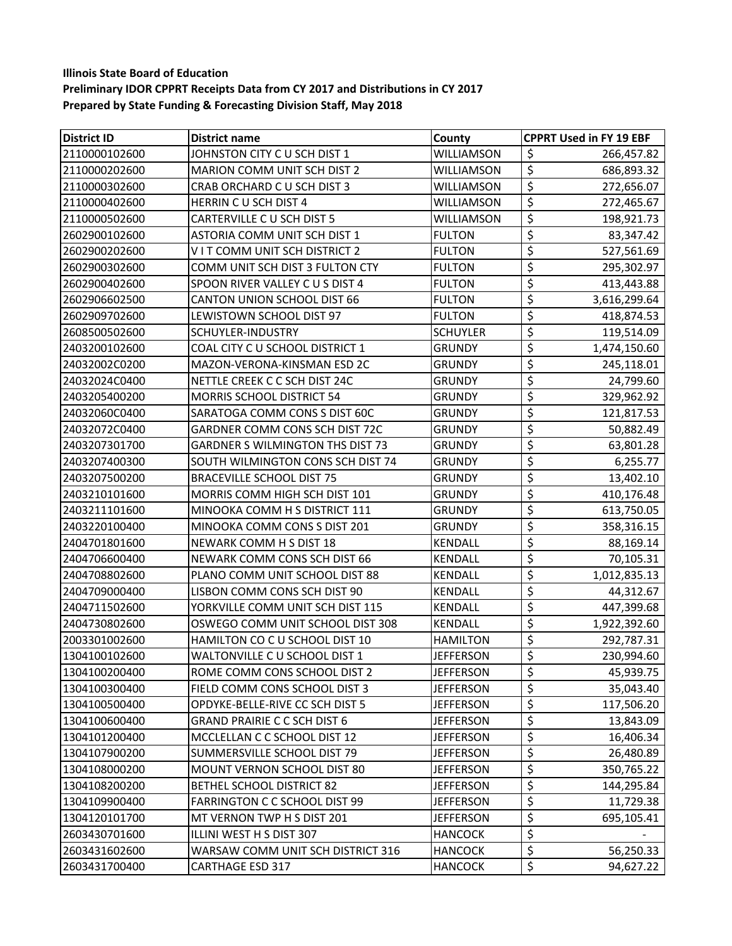| <b>District ID</b> | <b>District name</b>                    | County           | <b>CPPRT Used in FY 19 EBF</b>                  |
|--------------------|-----------------------------------------|------------------|-------------------------------------------------|
| 2110000102600      | JOHNSTON CITY C U SCH DIST 1            | WILLIAMSON       | \$<br>266,457.82                                |
| 2110000202600      | MARION COMM UNIT SCH DIST 2             | WILLIAMSON       | $\overline{\xi}$<br>686,893.32                  |
| 2110000302600      | CRAB ORCHARD C U SCH DIST 3             | WILLIAMSON       | \$<br>272,656.07                                |
| 2110000402600      | HERRIN CU SCH DIST 4                    | WILLIAMSON       | \$<br>272,465.67                                |
| 2110000502600      | CARTERVILLE C U SCH DIST 5              | WILLIAMSON       | \$<br>198,921.73                                |
| 2602900102600      | ASTORIA COMM UNIT SCH DIST 1            | <b>FULTON</b>    | $\overline{\xi}$<br>83,347.42                   |
| 2602900202600      | VIT COMM UNIT SCH DISTRICT 2            | <b>FULTON</b>    | $\overline{\boldsymbol{\zeta}}$<br>527,561.69   |
| 2602900302600      | COMM UNIT SCH DIST 3 FULTON CTY         | <b>FULTON</b>    | \$<br>295,302.97                                |
| 2602900402600      | SPOON RIVER VALLEY C U S DIST 4         | <b>FULTON</b>    | $\overline{\boldsymbol{\zeta}}$<br>413,443.88   |
| 2602906602500      | CANTON UNION SCHOOL DIST 66             | <b>FULTON</b>    | \$<br>3,616,299.64                              |
| 2602909702600      | LEWISTOWN SCHOOL DIST 97                | <b>FULTON</b>    | \$<br>418,874.53                                |
| 2608500502600      | <b>SCHUYLER-INDUSTRY</b>                | <b>SCHUYLER</b>  | \$<br>119,514.09                                |
| 2403200102600      | COAL CITY C U SCHOOL DISTRICT 1         | <b>GRUNDY</b>    | \$<br>1,474,150.60                              |
| 24032002C0200      | MAZON-VERONA-KINSMAN ESD 2C             | <b>GRUNDY</b>    | \$<br>245,118.01                                |
| 24032024C0400      | NETTLE CREEK C C SCH DIST 24C           | <b>GRUNDY</b>    | \$<br>24,799.60                                 |
| 2403205400200      | <b>MORRIS SCHOOL DISTRICT 54</b>        | <b>GRUNDY</b>    | \$<br>329,962.92                                |
| 24032060C0400      | SARATOGA COMM CONS S DIST 60C           | <b>GRUNDY</b>    | \$<br>121,817.53                                |
| 24032072C0400      | GARDNER COMM CONS SCH DIST 72C          | <b>GRUNDY</b>    | $\overline{\boldsymbol{\zeta}}$<br>50,882.49    |
| 2403207301700      | <b>GARDNER S WILMINGTON THS DIST 73</b> | <b>GRUNDY</b>    | \$<br>63,801.28                                 |
| 2403207400300      | SOUTH WILMINGTON CONS SCH DIST 74       | <b>GRUNDY</b>    | \$<br>6,255.77                                  |
| 2403207500200      | <b>BRACEVILLE SCHOOL DIST 75</b>        | <b>GRUNDY</b>    | $\overline{\xi}$<br>13,402.10                   |
| 2403210101600      | MORRIS COMM HIGH SCH DIST 101           | <b>GRUNDY</b>    | $\overline{\boldsymbol{\zeta}}$<br>410,176.48   |
| 2403211101600      | MINOOKA COMM H S DISTRICT 111           | <b>GRUNDY</b>    | \$<br>613,750.05                                |
| 2403220100400      | MINOOKA COMM CONS S DIST 201            | <b>GRUNDY</b>    | \$<br>358,316.15                                |
| 2404701801600      | NEWARK COMM H S DIST 18                 | <b>KENDALL</b>   | $\overline{\boldsymbol{\zeta}}$<br>88,169.14    |
| 2404706600400      | NEWARK COMM CONS SCH DIST 66            | <b>KENDALL</b>   | $\overline{\boldsymbol{\zeta}}$<br>70,105.31    |
| 2404708802600      | PLANO COMM UNIT SCHOOL DIST 88          | <b>KENDALL</b>   | $\overline{\boldsymbol{\zeta}}$<br>1,012,835.13 |
| 2404709000400      | LISBON COMM CONS SCH DIST 90            | <b>KENDALL</b>   | \$<br>44,312.67                                 |
| 2404711502600      | YORKVILLE COMM UNIT SCH DIST 115        | <b>KENDALL</b>   | \$<br>447,399.68                                |
| 2404730802600      | OSWEGO COMM UNIT SCHOOL DIST 308        | <b>KENDALL</b>   | $\overline{\xi}$<br>1,922,392.60                |
| 2003301002600      | HAMILTON CO C U SCHOOL DIST 10          | <b>HAMILTON</b>  | \$<br>292,787.31                                |
| 1304100102600      | WALTONVILLE C U SCHOOL DIST 1           | <b>JEFFERSON</b> | $\overline{\xi}$<br>230,994.60                  |
| 1304100200400      | ROME COMM CONS SCHOOL DIST 2            | <b>JEFFERSON</b> | 45,939.75<br>\$                                 |
| 1304100300400      | FIELD COMM CONS SCHOOL DIST 3           | <b>JEFFERSON</b> | \$<br>35,043.40                                 |
| 1304100500400      | OPDYKE-BELLE-RIVE CC SCH DIST 5         | <b>JEFFERSON</b> | \$<br>117,506.20                                |
| 1304100600400      | <b>GRAND PRAIRIE C C SCH DIST 6</b>     | <b>JEFFERSON</b> | \$<br>13,843.09                                 |
| 1304101200400      | MCCLELLAN C C SCHOOL DIST 12            | <b>JEFFERSON</b> | \$<br>16,406.34                                 |
| 1304107900200      | SUMMERSVILLE SCHOOL DIST 79             | <b>JEFFERSON</b> | \$<br>26,480.89                                 |
| 1304108000200      | MOUNT VERNON SCHOOL DIST 80             | <b>JEFFERSON</b> | \$<br>350,765.22                                |
| 1304108200200      | <b>BETHEL SCHOOL DISTRICT 82</b>        | <b>JEFFERSON</b> | \$<br>144,295.84                                |
| 1304109900400      | <b>FARRINGTON C C SCHOOL DIST 99</b>    | <b>JEFFERSON</b> | \$<br>11,729.38                                 |
| 1304120101700      | MT VERNON TWP H S DIST 201              | <b>JEFFERSON</b> | \$<br>695,105.41                                |
| 2603430701600      | ILLINI WEST H S DIST 307                | <b>HANCOCK</b>   | \$                                              |
| 2603431602600      | WARSAW COMM UNIT SCH DISTRICT 316       | <b>HANCOCK</b>   | \$<br>56,250.33                                 |
| 2603431700400      | <b>CARTHAGE ESD 317</b>                 | <b>HANCOCK</b>   | \$<br>94,627.22                                 |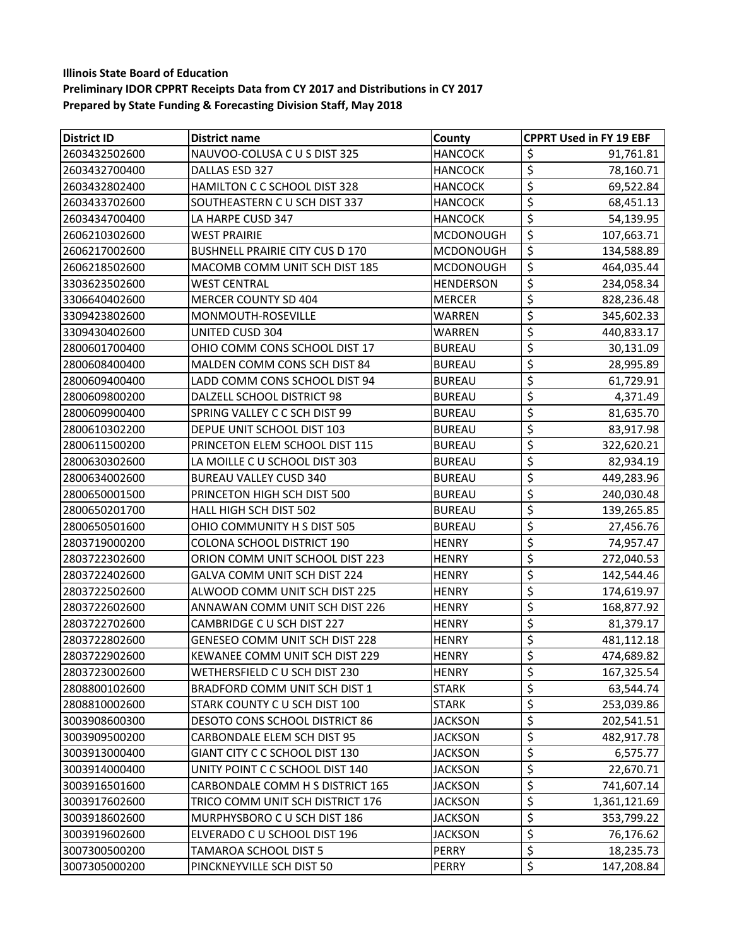| <b>District ID</b> | <b>District name</b>                   | County           | <b>CPPRT Used in FY 19 EBF</b>      |
|--------------------|----------------------------------------|------------------|-------------------------------------|
| 2603432502600      | NAUVOO-COLUSA C U S DIST 325           | <b>HANCOCK</b>   | \$<br>91,761.81                     |
| 2603432700400      | DALLAS ESD 327                         | <b>HANCOCK</b>   | $\overline{\varsigma}$<br>78,160.71 |
| 2603432802400      | HAMILTON C C SCHOOL DIST 328           | <b>HANCOCK</b>   | \$<br>69,522.84                     |
| 2603433702600      | SOUTHEASTERN C U SCH DIST 337          | <b>HANCOCK</b>   | \$<br>68,451.13                     |
| 2603434700400      | LA HARPE CUSD 347                      | <b>HANCOCK</b>   | \$<br>54,139.95                     |
| 2606210302600      | <b>WEST PRAIRIE</b>                    | <b>MCDONOUGH</b> | \$<br>107,663.71                    |
| 2606217002600      | <b>BUSHNELL PRAIRIE CITY CUS D 170</b> | <b>MCDONOUGH</b> | \$<br>134,588.89                    |
| 2606218502600      | MACOMB COMM UNIT SCH DIST 185          | <b>MCDONOUGH</b> | \$<br>464,035.44                    |
| 3303623502600      | <b>WEST CENTRAL</b>                    | <b>HENDERSON</b> | \$<br>234,058.34                    |
| 3306640402600      | MERCER COUNTY SD 404                   | <b>MERCER</b>    | \$<br>828,236.48                    |
| 3309423802600      | MONMOUTH-ROSEVILLE                     | WARREN           | \$<br>345,602.33                    |
| 3309430402600      | UNITED CUSD 304                        | WARREN           | \$<br>440,833.17                    |
| 2800601700400      | OHIO COMM CONS SCHOOL DIST 17          | <b>BUREAU</b>    | \$<br>30,131.09                     |
| 2800608400400      | MALDEN COMM CONS SCH DIST 84           | <b>BUREAU</b>    | \$<br>28,995.89                     |
| 2800609400400      | LADD COMM CONS SCHOOL DIST 94          | <b>BUREAU</b>    | \$<br>61,729.91                     |
| 2800609800200      | DALZELL SCHOOL DISTRICT 98             | <b>BUREAU</b>    | \$<br>4,371.49                      |
| 2800609900400      | SPRING VALLEY C C SCH DIST 99          | <b>BUREAU</b>    | \$<br>81,635.70                     |
| 2800610302200      | DEPUE UNIT SCHOOL DIST 103             | <b>BUREAU</b>    | \$<br>83,917.98                     |
| 2800611500200      | PRINCETON ELEM SCHOOL DIST 115         | <b>BUREAU</b>    | \$<br>322,620.21                    |
| 2800630302600      | LA MOILLE C U SCHOOL DIST 303          | <b>BUREAU</b>    | \$<br>82,934.19                     |
| 2800634002600      | <b>BUREAU VALLEY CUSD 340</b>          | <b>BUREAU</b>    | \$<br>449,283.96                    |
| 2800650001500      | PRINCETON HIGH SCH DIST 500            | <b>BUREAU</b>    | \$<br>240,030.48                    |
| 2800650201700      | <b>HALL HIGH SCH DIST 502</b>          | <b>BUREAU</b>    | \$<br>139,265.85                    |
| 2800650501600      | OHIO COMMUNITY H S DIST 505            | <b>BUREAU</b>    | \$<br>27,456.76                     |
| 2803719000200      | <b>COLONA SCHOOL DISTRICT 190</b>      | <b>HENRY</b>     | \$<br>74,957.47                     |
| 2803722302600      | ORION COMM UNIT SCHOOL DIST 223        | <b>HENRY</b>     | \$<br>272,040.53                    |
| 2803722402600      | GALVA COMM UNIT SCH DIST 224           | <b>HENRY</b>     | \$<br>142,544.46                    |
| 2803722502600      | ALWOOD COMM UNIT SCH DIST 225          | HENRY            | \$<br>174,619.97                    |
| 2803722602600      | ANNAWAN COMM UNIT SCH DIST 226         | <b>HENRY</b>     | \$<br>168,877.92                    |
| 2803722702600      | CAMBRIDGE C U SCH DIST 227             | HENRY            | \$<br>81,379.17                     |
| 2803722802600      | <b>GENESEO COMM UNIT SCH DIST 228</b>  | <b>HENRY</b>     | \$<br>481,112.18                    |
| 2803722902600      | KEWANEE COMM UNIT SCH DIST 229         | <b>HENRY</b>     | \$<br>474,689.82                    |
| 2803723002600      | WETHERSFIELD C U SCH DIST 230          | <b>HENRY</b>     | \$<br>167,325.54                    |
| 2808800102600      | BRADFORD COMM UNIT SCH DIST 1          | <b>STARK</b>     | \$<br>63,544.74                     |
| 2808810002600      | STARK COUNTY C U SCH DIST 100          | <b>STARK</b>     | $\overline{\xi}$<br>253,039.86      |
| 3003908600300      | DESOTO CONS SCHOOL DISTRICT 86         | <b>JACKSON</b>   | \$<br>202,541.51                    |
| 3003909500200      | CARBONDALE ELEM SCH DIST 95            | <b>JACKSON</b>   | \$<br>482,917.78                    |
| 3003913000400      | GIANT CITY C C SCHOOL DIST 130         | <b>JACKSON</b>   | \$<br>6,575.77                      |
| 3003914000400      | UNITY POINT C C SCHOOL DIST 140        | <b>JACKSON</b>   | \$<br>22,670.71                     |
| 3003916501600      | CARBONDALE COMM H S DISTRICT 165       | <b>JACKSON</b>   | \$<br>741,607.14                    |
| 3003917602600      | TRICO COMM UNIT SCH DISTRICT 176       | <b>JACKSON</b>   | \$<br>1,361,121.69                  |
| 3003918602600      | MURPHYSBORO C U SCH DIST 186           | <b>JACKSON</b>   | \$<br>353,799.22                    |
| 3003919602600      | ELVERADO C U SCHOOL DIST 196           | <b>JACKSON</b>   | \$<br>76,176.62                     |
| 3007300500200      | TAMAROA SCHOOL DIST 5                  | PERRY            | \$<br>18,235.73                     |
| 3007305000200      | PINCKNEYVILLE SCH DIST 50              | PERRY            | \$<br>147,208.84                    |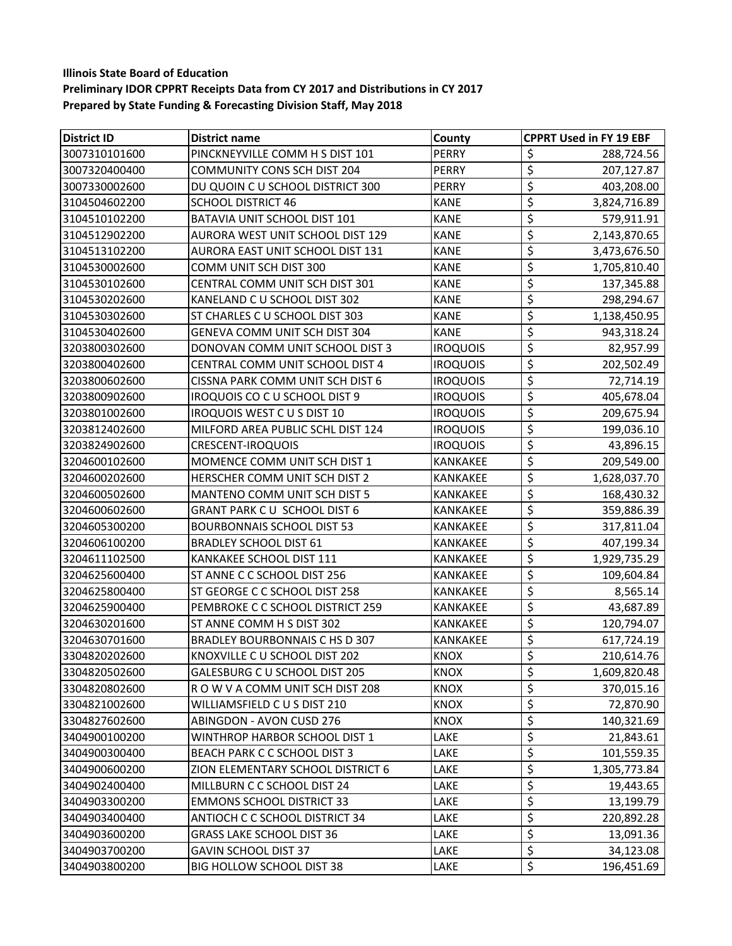| <b>District ID</b> | District name                       | County          | <b>CPPRT Used in FY 19 EBF</b>                    |
|--------------------|-------------------------------------|-----------------|---------------------------------------------------|
| 3007310101600      | PINCKNEYVILLE COMM H S DIST 101     | <b>PERRY</b>    | \$<br>288,724.56                                  |
| 3007320400400      | <b>COMMUNITY CONS SCH DIST 204</b>  | <b>PERRY</b>    | \$<br>207,127.87                                  |
| 3007330002600      | DU QUOIN C U SCHOOL DISTRICT 300    | PERRY           | \$<br>403,208.00                                  |
| 3104504602200      | <b>SCHOOL DISTRICT 46</b>           | <b>KANE</b>     | \$<br>3,824,716.89                                |
| 3104510102200      | <b>BATAVIA UNIT SCHOOL DIST 101</b> | <b>KANE</b>     | \$<br>579,911.91                                  |
| 3104512902200      | AURORA WEST UNIT SCHOOL DIST 129    | <b>KANE</b>     | \$<br>2,143,870.65                                |
| 3104513102200      | AURORA EAST UNIT SCHOOL DIST 131    | <b>KANE</b>     | \$<br>3,473,676.50                                |
| 3104530002600      | COMM UNIT SCH DIST 300              | <b>KANE</b>     | \$<br>1,705,810.40                                |
| 3104530102600      | CENTRAL COMM UNIT SCH DIST 301      | <b>KANE</b>     | \$<br>137,345.88                                  |
| 3104530202600      | KANELAND C U SCHOOL DIST 302        | <b>KANE</b>     | \$<br>298,294.67                                  |
| 3104530302600      | ST CHARLES C U SCHOOL DIST 303      | <b>KANE</b>     | \$<br>1,138,450.95                                |
| 3104530402600      | GENEVA COMM UNIT SCH DIST 304       | <b>KANE</b>     | \$<br>943,318.24                                  |
| 3203800302600      | DONOVAN COMM UNIT SCHOOL DIST 3     | <b>IROQUOIS</b> | \$<br>82,957.99                                   |
| 3203800402600      | CENTRAL COMM UNIT SCHOOL DIST 4     | <b>IROQUOIS</b> | \$<br>202,502.49                                  |
| 3203800602600      | CISSNA PARK COMM UNIT SCH DIST 6    | <b>IROQUOIS</b> | \$<br>72,714.19                                   |
| 3203800902600      | IROQUOIS CO C U SCHOOL DIST 9       | <b>IROQUOIS</b> | \$<br>405,678.04                                  |
| 3203801002600      | <b>IROQUOIS WEST CUS DIST 10</b>    | <b>IROQUOIS</b> | \$<br>209,675.94                                  |
| 3203812402600      | MILFORD AREA PUBLIC SCHL DIST 124   | <b>IROQUOIS</b> | \$<br>199,036.10                                  |
| 3203824902600      | <b>CRESCENT-IROQUOIS</b>            | <b>IROQUOIS</b> | \$<br>43,896.15                                   |
| 3204600102600      | MOMENCE COMM UNIT SCH DIST 1        | KANKAKEE        | \$<br>209,549.00                                  |
| 3204600202600      | HERSCHER COMM UNIT SCH DIST 2       | KANKAKEE        | \$<br>1,628,037.70                                |
| 3204600502600      | MANTENO COMM UNIT SCH DIST 5        | KANKAKEE        | \$<br>168,430.32                                  |
| 3204600602600      | <b>GRANT PARK CU SCHOOL DIST 6</b>  | KANKAKEE        | \$<br>359,886.39                                  |
| 3204605300200      | <b>BOURBONNAIS SCHOOL DIST 53</b>   | KANKAKEE        | \$<br>317,811.04                                  |
| 3204606100200      | <b>BRADLEY SCHOOL DIST 61</b>       | KANKAKEE        | \$<br>407,199.34                                  |
| 3204611102500      | KANKAKEE SCHOOL DIST 111            | KANKAKEE        | \$<br>1,929,735.29                                |
| 3204625600400      | ST ANNE C C SCHOOL DIST 256         | KANKAKEE        | \$<br>109,604.84                                  |
| 3204625800400      | ST GEORGE C C SCHOOL DIST 258       | KANKAKEE        | \$<br>8,565.14                                    |
| 3204625900400      | PEMBROKE C C SCHOOL DISTRICT 259    | KANKAKEE        | \$<br>43,687.89                                   |
| 3204630201600      | ST ANNE COMM H S DIST 302           | KANKAKEE        | \$<br>120,794.07                                  |
| 3204630701600      | BRADLEY BOURBONNAIS C HS D 307      | <b>KANKAKEE</b> | $\overline{\boldsymbol{\varsigma}}$<br>617,724.19 |
| 3304820202600      | KNOXVILLE C U SCHOOL DIST 202       | <b>KNOX</b>     | \$<br>210,614.76                                  |
| 3304820502600      | GALESBURG C U SCHOOL DIST 205       | <b>KNOX</b>     | \$<br>1,609,820.48                                |
| 3304820802600      | ROW V A COMM UNIT SCH DIST 208      | <b>KNOX</b>     | \$<br>370,015.16                                  |
| 3304821002600      | WILLIAMSFIELD CUS DIST 210          | <b>KNOX</b>     | \$<br>72,870.90                                   |
| 3304827602600      | <b>ABINGDON - AVON CUSD 276</b>     | <b>KNOX</b>     | \$<br>140,321.69                                  |
| 3404900100200      | WINTHROP HARBOR SCHOOL DIST 1       | LAKE            | \$<br>21,843.61                                   |
| 3404900300400      | BEACH PARK C C SCHOOL DIST 3        | LAKE            | \$<br>101,559.35                                  |
| 3404900600200      | ZION ELEMENTARY SCHOOL DISTRICT 6   | LAKE            | \$<br>1,305,773.84                                |
| 3404902400400      | MILLBURN C C SCHOOL DIST 24         | LAKE            | \$<br>19,443.65                                   |
| 3404903300200      | <b>EMMONS SCHOOL DISTRICT 33</b>    | LAKE            | \$<br>13,199.79                                   |
| 3404903400400      | ANTIOCH C C SCHOOL DISTRICT 34      | LAKE            | \$<br>220,892.28                                  |
| 3404903600200      | <b>GRASS LAKE SCHOOL DIST 36</b>    | LAKE            | \$<br>13,091.36                                   |
| 3404903700200      | <b>GAVIN SCHOOL DIST 37</b>         | LAKE            | \$<br>34,123.08                                   |
| 3404903800200      | BIG HOLLOW SCHOOL DIST 38           | LAKE            | \$<br>196,451.69                                  |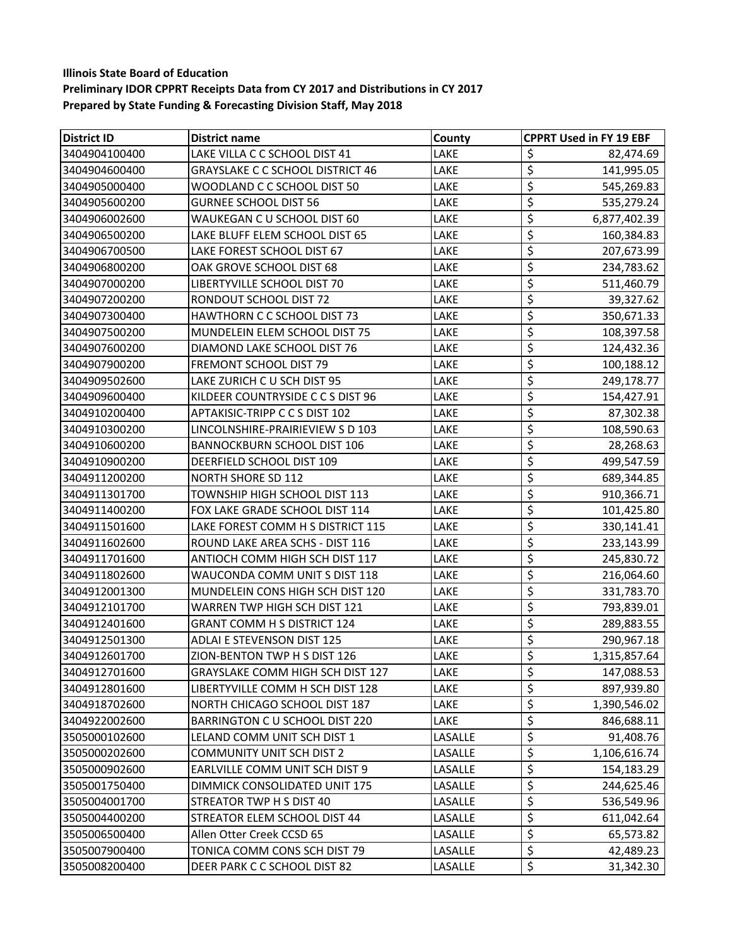| <b>District ID</b> | <b>District name</b>                    | County  | <b>CPPRT Used in FY 19 EBF</b> |
|--------------------|-----------------------------------------|---------|--------------------------------|
| 3404904100400      | LAKE VILLA C C SCHOOL DIST 41           | LAKE    | \$<br>82,474.69                |
| 3404904600400      | <b>GRAYSLAKE C C SCHOOL DISTRICT 46</b> | LAKE    | \$<br>141,995.05               |
| 3404905000400      | WOODLAND C C SCHOOL DIST 50             | LAKE    | \$<br>545,269.83               |
| 3404905600200      | <b>GURNEE SCHOOL DIST 56</b>            | LAKE    | \$<br>535,279.24               |
| 3404906002600      | WAUKEGAN C U SCHOOL DIST 60             | LAKE    | \$<br>6,877,402.39             |
| 3404906500200      | LAKE BLUFF ELEM SCHOOL DIST 65          | LAKE    | \$<br>160,384.83               |
| 3404906700500      | LAKE FOREST SCHOOL DIST 67              | LAKE    | \$<br>207,673.99               |
| 3404906800200      | OAK GROVE SCHOOL DIST 68                | LAKE    | \$<br>234,783.62               |
| 3404907000200      | LIBERTYVILLE SCHOOL DIST 70             | LAKE    | \$<br>511,460.79               |
| 3404907200200      | RONDOUT SCHOOL DIST 72                  | LAKE    | \$<br>39,327.62                |
| 3404907300400      | <b>HAWTHORN C C SCHOOL DIST 73</b>      | LAKE    | \$<br>350,671.33               |
| 3404907500200      | MUNDELEIN ELEM SCHOOL DIST 75           | LAKE    | \$<br>108,397.58               |
| 3404907600200      | DIAMOND LAKE SCHOOL DIST 76             | LAKE    | \$<br>124,432.36               |
| 3404907900200      | <b>FREMONT SCHOOL DIST 79</b>           | LAKE    | \$<br>100,188.12               |
| 3404909502600      | LAKE ZURICH C U SCH DIST 95             | LAKE    | \$<br>249,178.77               |
| 3404909600400      | KILDEER COUNTRYSIDE C C S DIST 96       | LAKE    | \$<br>154,427.91               |
| 3404910200400      | APTAKISIC-TRIPP C C S DIST 102          | LAKE    | \$<br>87,302.38                |
| 3404910300200      | LINCOLNSHIRE-PRAIRIEVIEW S D 103        | LAKE    | \$<br>108,590.63               |
| 3404910600200      | <b>BANNOCKBURN SCHOOL DIST 106</b>      | LAKE    | \$<br>28,268.63                |
| 3404910900200      | DEERFIELD SCHOOL DIST 109               | LAKE    | \$<br>499,547.59               |
| 3404911200200      | <b>NORTH SHORE SD 112</b>               | LAKE    | \$<br>689,344.85               |
| 3404911301700      | TOWNSHIP HIGH SCHOOL DIST 113           | LAKE    | \$<br>910,366.71               |
| 3404911400200      | FOX LAKE GRADE SCHOOL DIST 114          | LAKE    | \$<br>101,425.80               |
| 3404911501600      | LAKE FOREST COMM H S DISTRICT 115       | LAKE    | \$<br>330,141.41               |
| 3404911602600      | ROUND LAKE AREA SCHS - DIST 116         | LAKE    | \$<br>233,143.99               |
| 3404911701600      | ANTIOCH COMM HIGH SCH DIST 117          | LAKE    | \$<br>245,830.72               |
| 3404911802600      | WAUCONDA COMM UNIT S DIST 118           | LAKE    | \$<br>216,064.60               |
| 3404912001300      | MUNDELEIN CONS HIGH SCH DIST 120        | LAKE    | \$<br>331,783.70               |
| 3404912101700      | WARREN TWP HIGH SCH DIST 121            | LAKE    | \$<br>793,839.01               |
| 3404912401600      | <b>GRANT COMM H S DISTRICT 124</b>      | LAKE    | \$<br>289,883.55               |
| 3404912501300      | <b>ADLAI E STEVENSON DIST 125</b>       | LAKE    | \$<br>290,967.18               |
| 3404912601700      | ZION-BENTON TWP H S DIST 126            | LAKE    | \$<br>1,315,857.64             |
| 3404912701600      | GRAYSLAKE COMM HIGH SCH DIST 127        | LAKE    | \$<br>147,088.53               |
| 3404912801600      | LIBERTYVILLE COMM H SCH DIST 128        | LAKE    | \$<br>897,939.80               |
| 3404918702600      | NORTH CHICAGO SCHOOL DIST 187           | LAKE    | \$<br>1,390,546.02             |
| 3404922002600      | BARRINGTON C U SCHOOL DIST 220          | LAKE    | \$<br>846,688.11               |
| 3505000102600      | LELAND COMM UNIT SCH DIST 1             | LASALLE | \$<br>91,408.76                |
| 3505000202600      | <b>COMMUNITY UNIT SCH DIST 2</b>        | LASALLE | \$<br>1,106,616.74             |
| 3505000902600      | EARLVILLE COMM UNIT SCH DIST 9          | LASALLE | \$<br>154,183.29               |
| 3505001750400      | DIMMICK CONSOLIDATED UNIT 175           | LASALLE | \$<br>244,625.46               |
| 3505004001700      | STREATOR TWP H S DIST 40                | LASALLE | \$<br>536,549.96               |
| 3505004400200      | STREATOR ELEM SCHOOL DIST 44            | LASALLE | \$<br>611,042.64               |
| 3505006500400      | Allen Otter Creek CCSD 65               | LASALLE | \$<br>65,573.82                |
| 3505007900400      | TONICA COMM CONS SCH DIST 79            | LASALLE | \$<br>42,489.23                |
| 3505008200400      | DEER PARK C C SCHOOL DIST 82            | LASALLE | \$<br>31,342.30                |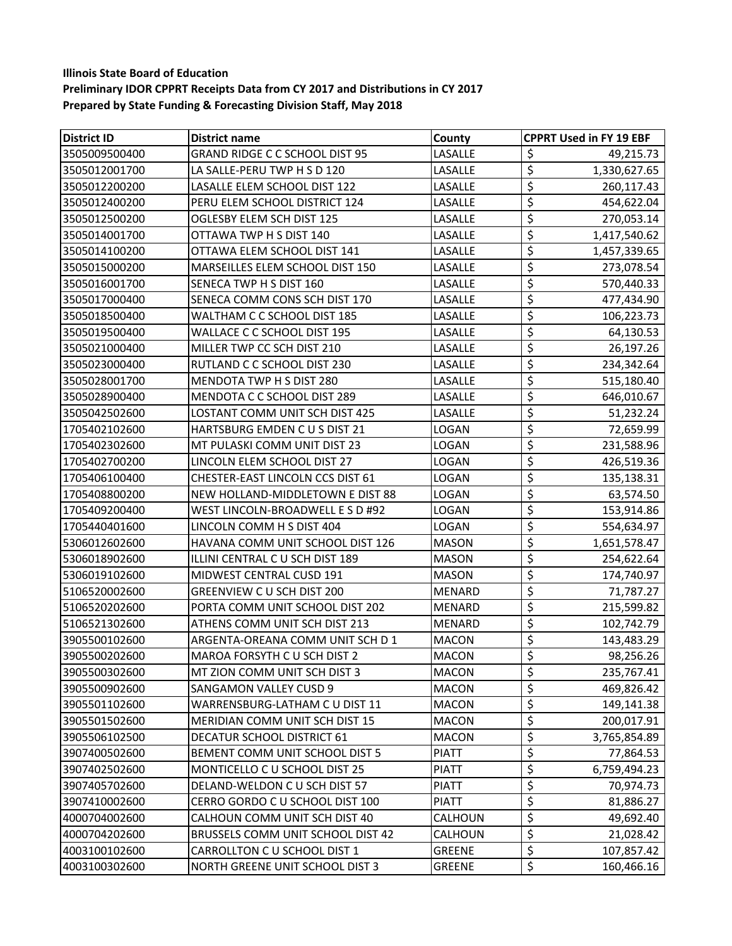| <b>District ID</b> | District name                           | County        | <b>CPPRT Used in FY 19 EBF</b>                |
|--------------------|-----------------------------------------|---------------|-----------------------------------------------|
| 3505009500400      | <b>GRAND RIDGE C C SCHOOL DIST 95</b>   | LASALLE       | \$<br>49,215.73                               |
| 3505012001700      | LA SALLE-PERU TWP H S D 120             | LASALLE       | $\overline{\varsigma}$<br>1,330,627.65        |
| 3505012200200      | LASALLE ELEM SCHOOL DIST 122            | LASALLE       | \$<br>260,117.43                              |
| 3505012400200      | PERU ELEM SCHOOL DISTRICT 124           | LASALLE       | \$<br>454,622.04                              |
| 3505012500200      | OGLESBY ELEM SCH DIST 125               | LASALLE       | \$<br>270,053.14                              |
| 3505014001700      | OTTAWA TWP H S DIST 140                 | LASALLE       | \$<br>1,417,540.62                            |
| 3505014100200      | OTTAWA ELEM SCHOOL DIST 141             | LASALLE       | \$<br>1,457,339.65                            |
| 3505015000200      | MARSEILLES ELEM SCHOOL DIST 150         | LASALLE       | \$<br>273,078.54                              |
| 3505016001700      | SENECA TWP H S DIST 160                 | LASALLE       | \$<br>570,440.33                              |
| 3505017000400      | SENECA COMM CONS SCH DIST 170           | LASALLE       | \$<br>477,434.90                              |
| 3505018500400      | WALTHAM C C SCHOOL DIST 185             | LASALLE       | \$<br>106,223.73                              |
| 3505019500400      | WALLACE C C SCHOOL DIST 195             | LASALLE       | \$<br>64,130.53                               |
| 3505021000400      | MILLER TWP CC SCH DIST 210              | LASALLE       | \$<br>26,197.26                               |
| 3505023000400      | RUTLAND C C SCHOOL DIST 230             | LASALLE       | \$<br>234,342.64                              |
| 3505028001700      | <b>MENDOTA TWP H S DIST 280</b>         | LASALLE       | \$<br>515,180.40                              |
| 3505028900400      | MENDOTA C C SCHOOL DIST 289             | LASALLE       | \$<br>646,010.67                              |
| 3505042502600      | LOSTANT COMM UNIT SCH DIST 425          | LASALLE       | \$<br>51,232.24                               |
| 1705402102600      | HARTSBURG EMDEN CUS DIST 21             | LOGAN         | \$<br>72,659.99                               |
| 1705402302600      | MT PULASKI COMM UNIT DIST 23            | LOGAN         | \$<br>231,588.96                              |
| 1705402700200      | LINCOLN ELEM SCHOOL DIST 27             | LOGAN         | \$<br>426,519.36                              |
| 1705406100400      | <b>CHESTER-EAST LINCOLN CCS DIST 61</b> | LOGAN         | \$<br>135,138.31                              |
| 1705408800200      | NEW HOLLAND-MIDDLETOWN E DIST 88        | LOGAN         | \$<br>63,574.50                               |
| 1705409200400      | WEST LINCOLN-BROADWELL E S D #92        | LOGAN         | \$<br>153,914.86                              |
| 1705440401600      | LINCOLN COMM H S DIST 404               | LOGAN         | \$<br>554,634.97                              |
| 5306012602600      | HAVANA COMM UNIT SCHOOL DIST 126        | <b>MASON</b>  | \$<br>1,651,578.47                            |
| 5306018902600      | ILLINI CENTRAL CU SCH DIST 189          | <b>MASON</b>  | \$<br>254,622.64                              |
| 5306019102600      | MIDWEST CENTRAL CUSD 191                | <b>MASON</b>  | \$<br>174,740.97                              |
| 5106520002600      | GREENVIEW C U SCH DIST 200              | MENARD        | \$<br>71,787.27                               |
| 5106520202600      | PORTA COMM UNIT SCHOOL DIST 202         | MENARD        | \$<br>215,599.82                              |
| 5106521302600      | ATHENS COMM UNIT SCH DIST 213           | <b>MENARD</b> | \$<br>102,742.79                              |
| 3905500102600      | ARGENTA-OREANA COMM UNIT SCH D 1        | <b>MACON</b>  | \$<br>143,483.29                              |
| 3905500202600      | MAROA FORSYTH C U SCH DIST 2            | <b>MACON</b>  | \$<br>98,256.26                               |
| 3905500302600      | MT ZION COMM UNIT SCH DIST 3            | <b>MACON</b>  | \$<br>235,767.41                              |
| 3905500902600      | <b>SANGAMON VALLEY CUSD 9</b>           | <b>MACON</b>  | \$<br>469,826.42                              |
| 3905501102600      | WARRENSBURG-LATHAM C U DIST 11          | <b>MACON</b>  | \$<br>149,141.38                              |
| 3905501502600      | <b>MERIDIAN COMM UNIT SCH DIST 15</b>   | <b>MACON</b>  | \$<br>200,017.91                              |
| 3905506102500      | DECATUR SCHOOL DISTRICT 61              | <b>MACON</b>  | \$<br>3,765,854.89                            |
| 3907400502600      | BEMENT COMM UNIT SCHOOL DIST 5          | <b>PIATT</b>  | \$<br>77,864.53                               |
| 3907402502600      | MONTICELLO C U SCHOOL DIST 25           | <b>PIATT</b>  | \$<br>6,759,494.23                            |
| 3907405702600      | DELAND-WELDON C U SCH DIST 57           | <b>PIATT</b>  | \$<br>70,974.73                               |
| 3907410002600      | CERRO GORDO C U SCHOOL DIST 100         | <b>PIATT</b>  | \$<br>81,886.27                               |
| 4000704002600      | CALHOUN COMM UNIT SCH DIST 40           | CALHOUN       | \$<br>49,692.40                               |
| 4000704202600      | BRUSSELS COMM UNIT SCHOOL DIST 42       | CALHOUN       | \$<br>21,028.42                               |
| 4003100102600      | CARROLLTON C U SCHOOL DIST 1            | <b>GREENE</b> | \$<br>107,857.42                              |
| 4003100302600      | NORTH GREENE UNIT SCHOOL DIST 3         | <b>GREENE</b> | $\overline{\boldsymbol{\zeta}}$<br>160,466.16 |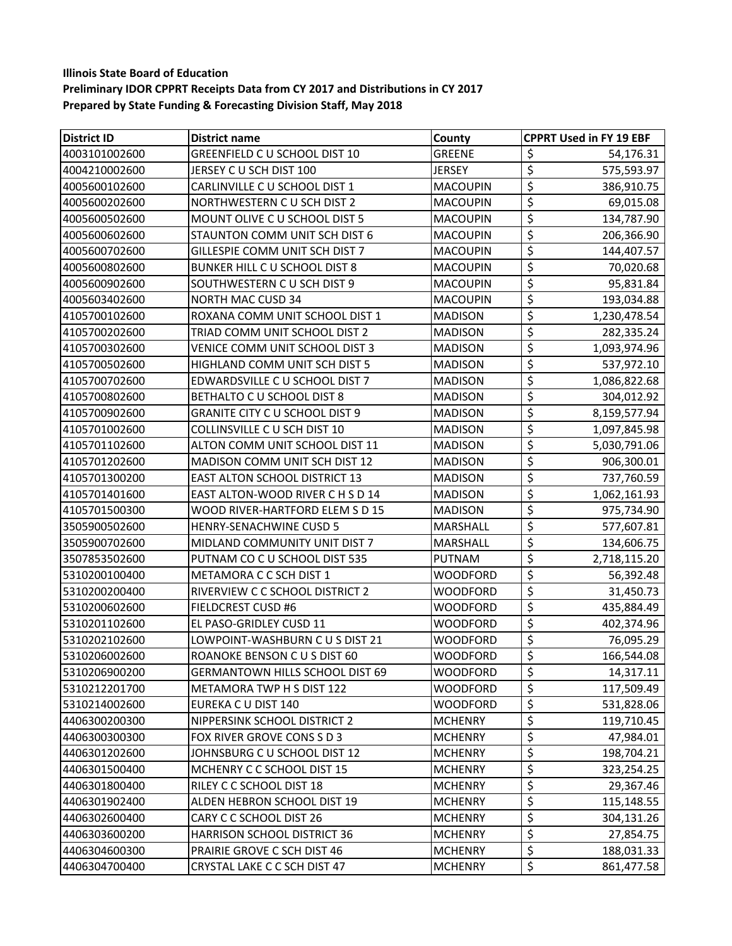| <b>District ID</b> | <b>District name</b>                   | County          | <b>CPPRT Used in FY 19 EBF</b>         |
|--------------------|----------------------------------------|-----------------|----------------------------------------|
| 4003101002600      | GREENFIELD C U SCHOOL DIST 10          | <b>GREENE</b>   | \$<br>54,176.31                        |
| 4004210002600      | JERSEY C U SCH DIST 100                | <b>JERSEY</b>   | \$<br>575,593.97                       |
| 4005600102600      | CARLINVILLE C U SCHOOL DIST 1          | <b>MACOUPIN</b> | \$<br>386,910.75                       |
| 4005600202600      | NORTHWESTERN CU SCH DIST 2             | <b>MACOUPIN</b> | \$<br>69,015.08                        |
| 4005600502600      | MOUNT OLIVE C U SCHOOL DIST 5          | <b>MACOUPIN</b> | \$<br>134,787.90                       |
| 4005600602600      | STAUNTON COMM UNIT SCH DIST 6          | <b>MACOUPIN</b> | \$<br>206,366.90                       |
| 4005600702600      | GILLESPIE COMM UNIT SCH DIST 7         | <b>MACOUPIN</b> | \$<br>144,407.57                       |
| 4005600802600      | BUNKER HILL C U SCHOOL DIST 8          | <b>MACOUPIN</b> | $\overline{\mathcal{L}}$<br>70,020.68  |
| 4005600902600      | SOUTHWESTERN C U SCH DIST 9            | <b>MACOUPIN</b> | \$<br>95,831.84                        |
| 4005603402600      | <b>NORTH MAC CUSD 34</b>               | <b>MACOUPIN</b> | \$<br>193,034.88                       |
| 4105700102600      | ROXANA COMM UNIT SCHOOL DIST 1         | <b>MADISON</b>  | \$<br>1,230,478.54                     |
| 4105700202600      | TRIAD COMM UNIT SCHOOL DIST 2          | <b>MADISON</b>  | \$<br>282,335.24                       |
| 4105700302600      | VENICE COMM UNIT SCHOOL DIST 3         | <b>MADISON</b>  | \$<br>1,093,974.96                     |
| 4105700502600      | HIGHLAND COMM UNIT SCH DIST 5          | <b>MADISON</b>  | \$<br>537,972.10                       |
| 4105700702600      | EDWARDSVILLE C U SCHOOL DIST 7         | <b>MADISON</b>  | \$<br>1,086,822.68                     |
| 4105700802600      | BETHALTO C U SCHOOL DIST 8             | <b>MADISON</b>  | \$<br>304,012.92                       |
| 4105700902600      | <b>GRANITE CITY C U SCHOOL DIST 9</b>  | <b>MADISON</b>  | \$<br>8,159,577.94                     |
| 4105701002600      | COLLINSVILLE C U SCH DIST 10           | <b>MADISON</b>  | \$<br>1,097,845.98                     |
| 4105701102600      | ALTON COMM UNIT SCHOOL DIST 11         | <b>MADISON</b>  | \$<br>5,030,791.06                     |
| 4105701202600      | MADISON COMM UNIT SCH DIST 12          | <b>MADISON</b>  | \$<br>906,300.01                       |
| 4105701300200      | EAST ALTON SCHOOL DISTRICT 13          | <b>MADISON</b>  | \$<br>737,760.59                       |
| 4105701401600      | EAST ALTON-WOOD RIVER C H S D 14       | <b>MADISON</b>  | \$<br>1,062,161.93                     |
| 4105701500300      | WOOD RIVER-HARTFORD ELEM S D 15        | <b>MADISON</b>  | \$<br>975,734.90                       |
| 3505900502600      | <b>HENRY-SENACHWINE CUSD 5</b>         | MARSHALL        | \$<br>577,607.81                       |
| 3505900702600      | MIDLAND COMMUNITY UNIT DIST 7          | MARSHALL        | $\overline{\mathcal{L}}$<br>134,606.75 |
| 3507853502600      | PUTNAM CO C U SCHOOL DIST 535          | PUTNAM          | \$<br>2,718,115.20                     |
| 5310200100400      | <b>METAMORA C C SCH DIST 1</b>         | WOODFORD        | \$<br>56,392.48                        |
| 5310200200400      | RIVERVIEW C C SCHOOL DISTRICT 2        | WOODFORD        | \$<br>31,450.73                        |
| 5310200602600      | <b>FIELDCREST CUSD #6</b>              | <b>WOODFORD</b> | \$<br>435,884.49                       |
| 5310201102600      | EL PASO-GRIDLEY CUSD 11                | WOODFORD        | \$<br>402,374.96                       |
| 5310202102600      | LOWPOINT-WASHBURN C U S DIST 21        | WOODFORD        | $\overline{\xi}$<br>76,095.29          |
| 5310206002600      | ROANOKE BENSON C U S DIST 60           | WOODFORD        | \$<br>166,544.08                       |
| 5310206900200      | <b>GERMANTOWN HILLS SCHOOL DIST 69</b> | <b>WOODFORD</b> | \$<br>14,317.11                        |
| 5310212201700      | METAMORA TWP H S DIST 122              | <b>WOODFORD</b> | \$<br>117,509.49                       |
| 5310214002600      | EUREKA C U DIST 140                    | WOODFORD        | \$<br>531,828.06                       |
| 4406300200300      | NIPPERSINK SCHOOL DISTRICT 2           | <b>MCHENRY</b>  | \$<br>119,710.45                       |
| 4406300300300      | FOX RIVER GROVE CONS S D 3             | <b>MCHENRY</b>  | \$<br>47,984.01                        |
| 4406301202600      | JOHNSBURG C U SCHOOL DIST 12           | <b>MCHENRY</b>  | \$<br>198,704.21                       |
| 4406301500400      | MCHENRY C C SCHOOL DIST 15             | <b>MCHENRY</b>  | \$<br>323,254.25                       |
| 4406301800400      | RILEY C C SCHOOL DIST 18               | <b>MCHENRY</b>  | \$<br>29,367.46                        |
| 4406301902400      | ALDEN HEBRON SCHOOL DIST 19            | <b>MCHENRY</b>  | \$<br>115,148.55                       |
| 4406302600400      | CARY C C SCHOOL DIST 26                | <b>MCHENRY</b>  | \$<br>304,131.26                       |
| 4406303600200      | HARRISON SCHOOL DISTRICT 36            | <b>MCHENRY</b>  | \$<br>27,854.75                        |
| 4406304600300      | PRAIRIE GROVE C SCH DIST 46            | <b>MCHENRY</b>  | \$<br>188,031.33                       |
| 4406304700400      | CRYSTAL LAKE C C SCH DIST 47           | <b>MCHENRY</b>  | $\overline{\mathcal{L}}$<br>861,477.58 |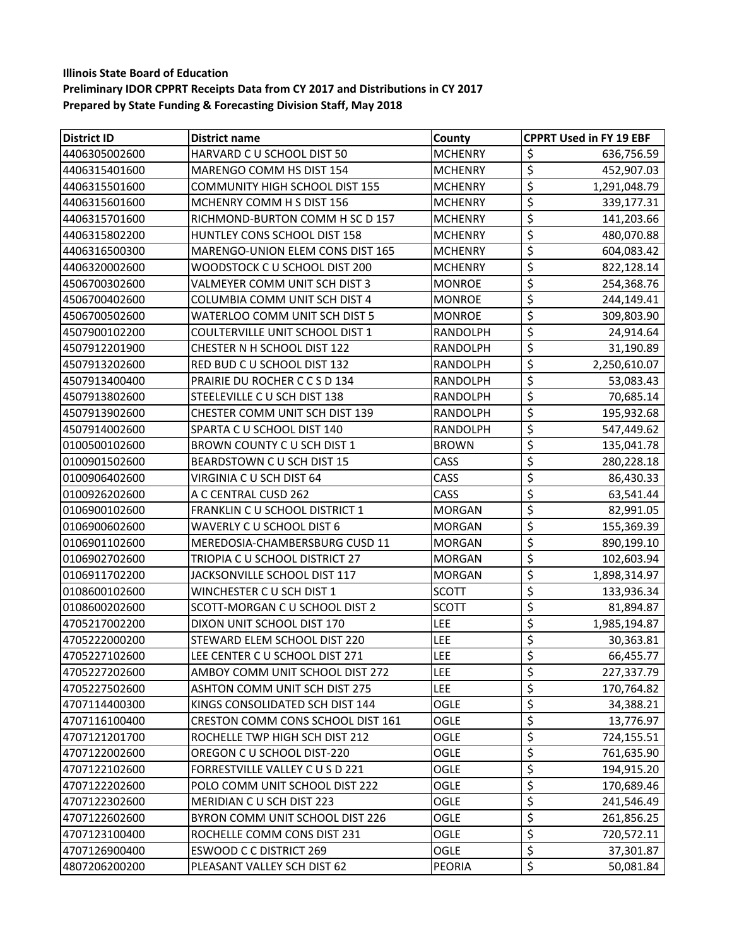| <b>District ID</b> | <b>District name</b>                  | County          | <b>CPPRT Used in FY 19 EBF</b>         |
|--------------------|---------------------------------------|-----------------|----------------------------------------|
| 4406305002600      | HARVARD C U SCHOOL DIST 50            | <b>MCHENRY</b>  | \$<br>636,756.59                       |
| 4406315401600      | MARENGO COMM HS DIST 154              | <b>MCHENRY</b>  | $\overline{\varsigma}$<br>452,907.03   |
| 4406315501600      | <b>COMMUNITY HIGH SCHOOL DIST 155</b> | <b>MCHENRY</b>  | \$<br>1,291,048.79                     |
| 4406315601600      | MCHENRY COMM H S DIST 156             | <b>MCHENRY</b>  | \$<br>339,177.31                       |
| 4406315701600      | RICHMOND-BURTON COMM H SC D 157       | <b>MCHENRY</b>  | \$<br>141,203.66                       |
| 4406315802200      | HUNTLEY CONS SCHOOL DIST 158          | <b>MCHENRY</b>  | \$<br>480,070.88                       |
| 4406316500300      | MARENGO-UNION ELEM CONS DIST 165      | <b>MCHENRY</b>  | \$<br>604,083.42                       |
| 4406320002600      | WOODSTOCK C U SCHOOL DIST 200         | <b>MCHENRY</b>  | $\overline{\mathcal{L}}$<br>822,128.14 |
| 4506700302600      | VALMEYER COMM UNIT SCH DIST 3         | <b>MONROE</b>   | \$<br>254,368.76                       |
| 4506700402600      | COLUMBIA COMM UNIT SCH DIST 4         | <b>MONROE</b>   | \$<br>244,149.41                       |
| 4506700502600      | WATERLOO COMM UNIT SCH DIST 5         | <b>MONROE</b>   | \$<br>309,803.90                       |
| 4507900102200      | COULTERVILLE UNIT SCHOOL DIST 1       | RANDOLPH        | \$<br>24,914.64                        |
| 4507912201900      | <b>CHESTER N H SCHOOL DIST 122</b>    | RANDOLPH        | \$<br>31,190.89                        |
| 4507913202600      | RED BUD C U SCHOOL DIST 132           | <b>RANDOLPH</b> | \$<br>2,250,610.07                     |
| 4507913400400      | PRAIRIE DU ROCHER C C S D 134         | RANDOLPH        | \$<br>53,083.43                        |
| 4507913802600      | STEELEVILLE C U SCH DIST 138          | RANDOLPH        | \$<br>70,685.14                        |
| 4507913902600      | CHESTER COMM UNIT SCH DIST 139        | <b>RANDOLPH</b> | \$<br>195,932.68                       |
| 4507914002600      | SPARTA C U SCHOOL DIST 140            | <b>RANDOLPH</b> | \$<br>547,449.62                       |
| 0100500102600      | BROWN COUNTY C U SCH DIST 1           | <b>BROWN</b>    | \$<br>135,041.78                       |
| 0100901502600      | BEARDSTOWN C U SCH DIST 15            | CASS            | \$<br>280,228.18                       |
| 0100906402600      | VIRGINIA C U SCH DIST 64              | CASS            | \$<br>86,430.33                        |
| 0100926202600      | A C CENTRAL CUSD 262                  | CASS            | \$<br>63,541.44                        |
| 0106900102600      | <b>FRANKLIN C U SCHOOL DISTRICT 1</b> | <b>MORGAN</b>   | \$<br>82,991.05                        |
| 0106900602600      | WAVERLY C U SCHOOL DIST 6             | <b>MORGAN</b>   | \$<br>155,369.39                       |
| 0106901102600      | MEREDOSIA-CHAMBERSBURG CUSD 11        | <b>MORGAN</b>   | $\overline{\mathcal{L}}$<br>890,199.10 |
| 0106902702600      | TRIOPIA C U SCHOOL DISTRICT 27        | <b>MORGAN</b>   | \$<br>102,603.94                       |
| 0106911702200      | JACKSONVILLE SCHOOL DIST 117          | <b>MORGAN</b>   | \$<br>1,898,314.97                     |
| 0108600102600      | WINCHESTER C U SCH DIST 1             | <b>SCOTT</b>    | \$<br>133,936.34                       |
| 0108600202600      | SCOTT-MORGAN C U SCHOOL DIST 2        | <b>SCOTT</b>    | \$<br>81,894.87                        |
| 4705217002200      | DIXON UNIT SCHOOL DIST 170            | LEE             | \$<br>1,985,194.87                     |
| 4705222000200      | STEWARD ELEM SCHOOL DIST 220          | <b>LEE</b>      | \$<br>30,363.81                        |
| 4705227102600      | LEE CENTER C U SCHOOL DIST 271        | <b>LEE</b>      | \$<br>66,455.77                        |
| 4705227202600      | AMBOY COMM UNIT SCHOOL DIST 272       | <b>LEE</b>      | \$<br>227,337.79                       |
| 4705227502600      | <b>ASHTON COMM UNIT SCH DIST 275</b>  | <b>LEE</b>      | \$<br>170,764.82                       |
| 4707114400300      | KINGS CONSOLIDATED SCH DIST 144       | OGLE            | \$<br>34,388.21                        |
| 4707116100400      | CRESTON COMM CONS SCHOOL DIST 161     | OGLE            | \$<br>13,776.97                        |
| 4707121201700      | ROCHELLE TWP HIGH SCH DIST 212        | <b>OGLE</b>     | \$<br>724,155.51                       |
| 4707122002600      | OREGON C U SCHOOL DIST-220            | OGLE            | \$<br>761,635.90                       |
| 4707122102600      | FORRESTVILLE VALLEY C U S D 221       | OGLE            | \$<br>194,915.20                       |
| 4707122202600      | POLO COMM UNIT SCHOOL DIST 222        | OGLE            | \$<br>170,689.46                       |
| 4707122302600      | MERIDIAN C U SCH DIST 223             | OGLE            | \$<br>241,546.49                       |
| 4707122602600      | BYRON COMM UNIT SCHOOL DIST 226       | OGLE            | \$<br>261,856.25                       |
| 4707123100400      | ROCHELLE COMM CONS DIST 231           | OGLE            | \$<br>720,572.11                       |
| 4707126900400      | <b>ESWOOD C C DISTRICT 269</b>        | OGLE            | \$<br>37,301.87                        |
| 4807206200200      | PLEASANT VALLEY SCH DIST 62           | PEORIA          | $\overline{\varsigma}$<br>50,081.84    |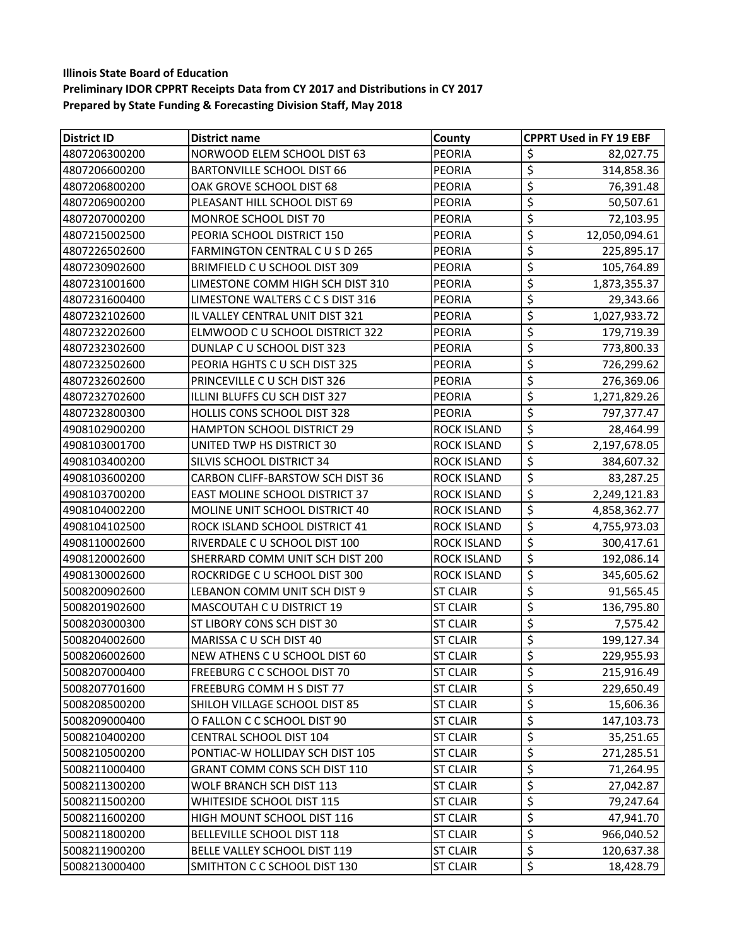| <b>District ID</b> | <b>District name</b>                  | County             | <b>CPPRT Used in FY 19 EBF</b>         |
|--------------------|---------------------------------------|--------------------|----------------------------------------|
| 4807206300200      | NORWOOD ELEM SCHOOL DIST 63           | <b>PEORIA</b>      | \$<br>82,027.75                        |
| 4807206600200      | <b>BARTONVILLE SCHOOL DIST 66</b>     | PEORIA             | $\overline{\varsigma}$<br>314,858.36   |
| 4807206800200      | OAK GROVE SCHOOL DIST 68              | <b>PEORIA</b>      | \$<br>76,391.48                        |
| 4807206900200      | PLEASANT HILL SCHOOL DIST 69          | <b>PEORIA</b>      | \$<br>50,507.61                        |
| 4807207000200      | MONROE SCHOOL DIST 70                 | <b>PEORIA</b>      | \$<br>72,103.95                        |
| 4807215002500      | PEORIA SCHOOL DISTRICT 150            | PEORIA             | \$<br>12,050,094.61                    |
| 4807226502600      | FARMINGTON CENTRAL CUSD 265           | <b>PEORIA</b>      | \$<br>225,895.17                       |
| 4807230902600      | BRIMFIELD C U SCHOOL DIST 309         | PEORIA             | \$<br>105,764.89                       |
| 4807231001600      | LIMESTONE COMM HIGH SCH DIST 310      | <b>PEORIA</b>      | \$<br>1,873,355.37                     |
| 4807231600400      | LIMESTONE WALTERS C C S DIST 316      | PEORIA             | \$<br>29,343.66                        |
| 4807232102600      | IL VALLEY CENTRAL UNIT DIST 321       | <b>PEORIA</b>      | \$<br>1,027,933.72                     |
| 4807232202600      | ELMWOOD C U SCHOOL DISTRICT 322       | PEORIA             | \$<br>179,719.39                       |
| 4807232302600      | DUNLAP C U SCHOOL DIST 323            | <b>PEORIA</b>      | \$<br>773,800.33                       |
| 4807232502600      | PEORIA HGHTS C U SCH DIST 325         | <b>PEORIA</b>      | \$<br>726,299.62                       |
| 4807232602600      | PRINCEVILLE C U SCH DIST 326          | <b>PEORIA</b>      | \$<br>276,369.06                       |
| 4807232702600      | ILLINI BLUFFS CU SCH DIST 327         | PEORIA             | \$<br>1,271,829.26                     |
| 4807232800300      | <b>HOLLIS CONS SCHOOL DIST 328</b>    | <b>PEORIA</b>      | \$<br>797,377.47                       |
| 4908102900200      | <b>HAMPTON SCHOOL DISTRICT 29</b>     | <b>ROCK ISLAND</b> | \$<br>28,464.99                        |
| 4908103001700      | UNITED TWP HS DISTRICT 30             | <b>ROCK ISLAND</b> | \$<br>2,197,678.05                     |
| 4908103400200      | SILVIS SCHOOL DISTRICT 34             | ROCK ISLAND        | \$<br>384,607.32                       |
| 4908103600200      | CARBON CLIFF-BARSTOW SCH DIST 36      | <b>ROCK ISLAND</b> | $\overline{\mathcal{L}}$<br>83,287.25  |
| 4908103700200      | <b>EAST MOLINE SCHOOL DISTRICT 37</b> | ROCK ISLAND        | \$<br>2,249,121.83                     |
| 4908104002200      | MOLINE UNIT SCHOOL DISTRICT 40        | <b>ROCK ISLAND</b> | \$<br>4,858,362.77                     |
| 4908104102500      | ROCK ISLAND SCHOOL DISTRICT 41        | ROCK ISLAND        | \$<br>4,755,973.03                     |
| 4908110002600      | RIVERDALE C U SCHOOL DIST 100         | <b>ROCK ISLAND</b> | $\overline{\mathcal{L}}$<br>300,417.61 |
| 4908120002600      | SHERRARD COMM UNIT SCH DIST 200       | <b>ROCK ISLAND</b> | \$<br>192,086.14                       |
| 4908130002600      | ROCKRIDGE C U SCHOOL DIST 300         | ROCK ISLAND        | \$<br>345,605.62                       |
| 5008200902600      | LEBANON COMM UNIT SCH DIST 9          | <b>ST CLAIR</b>    | \$<br>91,565.45                        |
| 5008201902600      | MASCOUTAH C U DISTRICT 19             | <b>ST CLAIR</b>    | \$<br>136,795.80                       |
| 5008203000300      | ST LIBORY CONS SCH DIST 30            | <b>ST CLAIR</b>    | \$<br>7,575.42                         |
| 5008204002600      | MARISSA C U SCH DIST 40               | <b>ST CLAIR</b>    | \$<br>199,127.34                       |
| 5008206002600      | NEW ATHENS C U SCHOOL DIST 60         | <b>ST CLAIR</b>    | \$<br>229,955.93                       |
| 5008207000400      | <b>FREEBURG C C SCHOOL DIST 70</b>    | <b>ST CLAIR</b>    | \$<br>215,916.49                       |
| 5008207701600      | FREEBURG COMM H S DIST 77             | <b>ST CLAIR</b>    | \$<br>229,650.49                       |
| 5008208500200      | SHILOH VILLAGE SCHOOL DIST 85         | <b>ST CLAIR</b>    | $\overline{\xi}$<br>15,606.36          |
| 5008209000400      | O FALLON C C SCHOOL DIST 90           | <b>ST CLAIR</b>    | \$<br>147,103.73                       |
| 5008210400200      | CENTRAL SCHOOL DIST 104               | <b>ST CLAIR</b>    | \$<br>35,251.65                        |
| 5008210500200      | PONTIAC-W HOLLIDAY SCH DIST 105       | <b>ST CLAIR</b>    | \$<br>271,285.51                       |
| 5008211000400      | GRANT COMM CONS SCH DIST 110          | <b>ST CLAIR</b>    | \$<br>71,264.95                        |
| 5008211300200      | WOLF BRANCH SCH DIST 113              | <b>ST CLAIR</b>    | \$<br>27,042.87                        |
| 5008211500200      | WHITESIDE SCHOOL DIST 115             | <b>ST CLAIR</b>    | \$<br>79,247.64                        |
| 5008211600200      | HIGH MOUNT SCHOOL DIST 116            | <b>ST CLAIR</b>    | \$<br>47,941.70                        |
| 5008211800200      | <b>BELLEVILLE SCHOOL DIST 118</b>     | <b>ST CLAIR</b>    | \$<br>966,040.52                       |
| 5008211900200      | BELLE VALLEY SCHOOL DIST 119          | <b>ST CLAIR</b>    | \$<br>120,637.38                       |
| 5008213000400      | SMITHTON C C SCHOOL DIST 130          | <b>ST CLAIR</b>    | \$<br>18,428.79                        |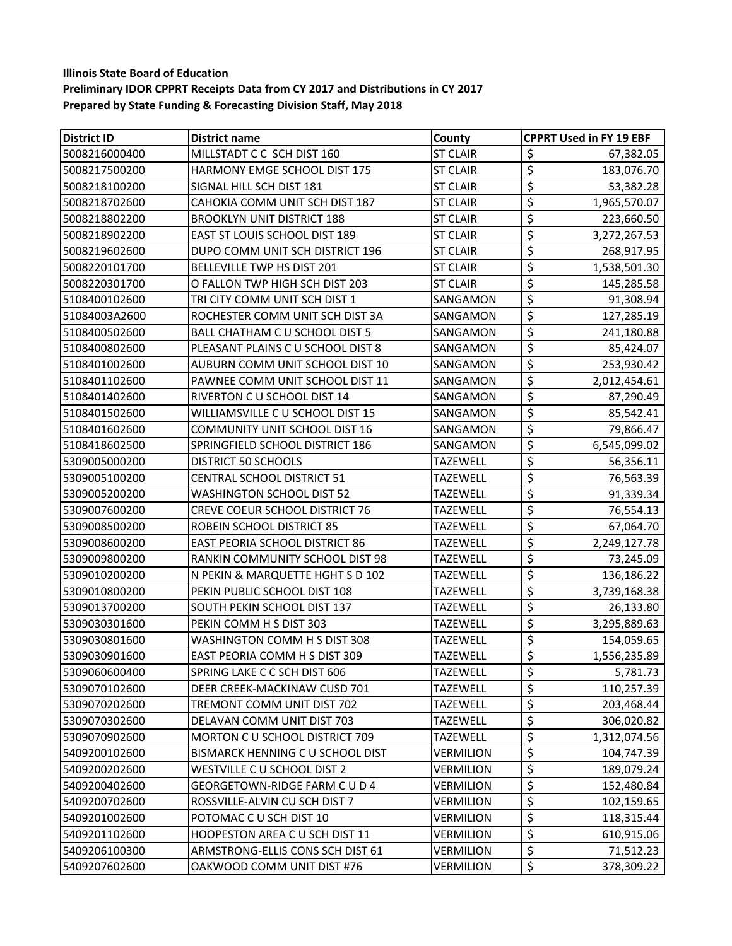| <b>District ID</b> | District name                         | County           | <b>CPPRT Used in FY 19 EBF</b>         |
|--------------------|---------------------------------------|------------------|----------------------------------------|
| 5008216000400      | MILLSTADT C C SCH DIST 160            | <b>ST CLAIR</b>  | \$<br>67,382.05                        |
| 5008217500200      | HARMONY EMGE SCHOOL DIST 175          | <b>ST CLAIR</b>  | $\overline{\varsigma}$<br>183,076.70   |
| 5008218100200      | SIGNAL HILL SCH DIST 181              | <b>ST CLAIR</b>  | \$<br>53,382.28                        |
| 5008218702600      | CAHOKIA COMM UNIT SCH DIST 187        | <b>ST CLAIR</b>  | \$<br>1,965,570.07                     |
| 5008218802200      | <b>BROOKLYN UNIT DISTRICT 188</b>     | <b>ST CLAIR</b>  | \$<br>223,660.50                       |
| 5008218902200      | EAST ST LOUIS SCHOOL DIST 189         | <b>ST CLAIR</b>  | \$<br>3,272,267.53                     |
| 5008219602600      | DUPO COMM UNIT SCH DISTRICT 196       | <b>ST CLAIR</b>  | \$<br>268,917.95                       |
| 5008220101700      | BELLEVILLE TWP HS DIST 201            | <b>ST CLAIR</b>  | \$<br>1,538,501.30                     |
| 5008220301700      | O FALLON TWP HIGH SCH DIST 203        | <b>ST CLAIR</b>  | \$<br>145,285.58                       |
| 5108400102600      | TRI CITY COMM UNIT SCH DIST 1         | SANGAMON         | \$<br>91,308.94                        |
| 51084003A2600      | ROCHESTER COMM UNIT SCH DIST 3A       | SANGAMON         | \$<br>127,285.19                       |
| 5108400502600      | BALL CHATHAM C U SCHOOL DIST 5        | SANGAMON         | $\overline{\xi}$<br>241,180.88         |
| 5108400802600      | PLEASANT PLAINS CU SCHOOL DIST 8      | SANGAMON         | \$<br>85,424.07                        |
| 5108401002600      | AUBURN COMM UNIT SCHOOL DIST 10       | SANGAMON         | \$<br>253,930.42                       |
| 5108401102600      | PAWNEE COMM UNIT SCHOOL DIST 11       | SANGAMON         | \$<br>2,012,454.61                     |
| 5108401402600      | RIVERTON C U SCHOOL DIST 14           | SANGAMON         | \$<br>87,290.49                        |
| 5108401502600      | WILLIAMSVILLE C U SCHOOL DIST 15      | SANGAMON         | $\overline{\xi}$<br>85,542.41          |
| 5108401602600      | <b>COMMUNITY UNIT SCHOOL DIST 16</b>  | SANGAMON         | \$<br>79,866.47                        |
| 5108418602500      | SPRINGFIELD SCHOOL DISTRICT 186       | SANGAMON         | \$<br>6,545,099.02                     |
| 5309005000200      | <b>DISTRICT 50 SCHOOLS</b>            | TAZEWELL         | \$<br>56,356.11                        |
| 5309005100200      | <b>CENTRAL SCHOOL DISTRICT 51</b>     | <b>TAZEWELL</b>  | \$<br>76,563.39                        |
| 5309005200200      | <b>WASHINGTON SCHOOL DIST 52</b>      | TAZEWELL         | \$<br>91,339.34                        |
| 5309007600200      | <b>CREVE COEUR SCHOOL DISTRICT 76</b> | TAZEWELL         | \$<br>76,554.13                        |
| 5309008500200      | ROBEIN SCHOOL DISTRICT 85             | TAZEWELL         | \$<br>67,064.70                        |
| 5309008600200      | <b>EAST PEORIA SCHOOL DISTRICT 86</b> | <b>TAZEWELL</b>  | $\overline{\varsigma}$<br>2,249,127.78 |
| 5309009800200      | RANKIN COMMUNITY SCHOOL DIST 98       | <b>TAZEWELL</b>  | \$<br>73,245.09                        |
| 5309010200200      | N PEKIN & MARQUETTE HGHT S D 102      | TAZEWELL         | $\overline{\mathcal{L}}$<br>136,186.22 |
| 5309010800200      | PEKIN PUBLIC SCHOOL DIST 108          | TAZEWELL         | \$<br>3,739,168.38                     |
| 5309013700200      | SOUTH PEKIN SCHOOL DIST 137           | TAZEWELL         | \$<br>26,133.80                        |
| 5309030301600      | PEKIN COMM H S DIST 303               | <b>TAZEWELL</b>  | \$<br>3,295,889.63                     |
| 5309030801600      | WASHINGTON COMM H S DIST 308          | TAZEWELL         | \$<br>154,059.65                       |
| 5309030901600      | EAST PEORIA COMM H S DIST 309         | <b>TAZEWELL</b>  | \$<br>1,556,235.89                     |
| 5309060600400      | SPRING LAKE C C SCH DIST 606          | <b>TAZEWELL</b>  | \$<br>5,781.73                         |
| 5309070102600      | DEER CREEK-MACKINAW CUSD 701          | <b>TAZEWELL</b>  | \$<br>110,257.39                       |
| 5309070202600      | TREMONT COMM UNIT DIST 702            | <b>TAZEWELL</b>  | \$<br>203,468.44                       |
| 5309070302600      | DELAVAN COMM UNIT DIST 703            | <b>TAZEWELL</b>  | \$<br>306,020.82                       |
| 5309070902600      | MORTON C U SCHOOL DISTRICT 709        | <b>TAZEWELL</b>  | \$<br>1,312,074.56                     |
| 5409200102600      | BISMARCK HENNING C U SCHOOL DIST      | VERMILION        | \$<br>104,747.39                       |
| 5409200202600      | WESTVILLE C U SCHOOL DIST 2           | <b>VERMILION</b> | \$<br>189,079.24                       |
| 5409200402600      | GEORGETOWN-RIDGE FARM C U D 4         | VERMILION        | \$<br>152,480.84                       |
| 5409200702600      | ROSSVILLE-ALVIN CU SCH DIST 7         | VERMILION        | \$<br>102,159.65                       |
| 5409201002600      | POTOMAC C U SCH DIST 10               | VERMILION        | \$<br>118,315.44                       |
| 5409201102600      | HOOPESTON AREA C U SCH DIST 11        | VERMILION        | \$<br>610,915.06                       |
| 5409206100300      | ARMSTRONG-ELLIS CONS SCH DIST 61      | VERMILION        | \$<br>71,512.23                        |
| 5409207602600      | OAKWOOD COMM UNIT DIST #76            | VERMILION        | \$<br>378,309.22                       |